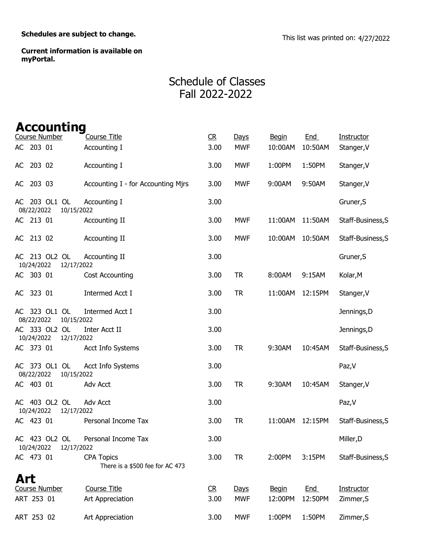Schedules are subject to change.<br>
This list was printed on: 4/27/2022

Current information is available on myPortal.

## Schedule of Classes Fall 2022-2022

| <b>Accounting</b>                         |                                                      |                |            |              |            |                   |
|-------------------------------------------|------------------------------------------------------|----------------|------------|--------------|------------|-------------------|
| Course Number                             | <b>Course Title</b>                                  | C <sub>R</sub> | Days       | <b>Begin</b> | End        | Instructor        |
| AC 203 01                                 | Accounting I                                         | 3.00           | <b>MWF</b> | 10:00AM      | 10:50AM    | Stanger, V        |
| 203 02<br>AC                              | Accounting I                                         | 3.00           | <b>MWF</b> | 1:00PM       | 1:50PM     | Stanger, V        |
| AC 203 03                                 | Accounting I - for Accounting Mjrs                   | 3.00           | <b>MWF</b> | 9:00AM       | 9:50AM     | Stanger, V        |
| AC 203 OL1 OL<br>08/22/2022<br>10/15/2022 | Accounting I                                         | 3.00           |            |              |            | Gruner, S         |
| AC 213 01                                 | Accounting II                                        | 3.00           | <b>MWF</b> | 11:00AM      | 11:50AM    | Staff-Business, S |
| AC 213 02                                 | Accounting II                                        | 3.00           | <b>MWF</b> | 10:00AM      | 10:50AM    | Staff-Business, S |
| AC 213 OL2 OL<br>10/24/2022<br>12/17/2022 | Accounting II                                        | 3.00           |            |              |            | Gruner, S         |
| AC 303 01                                 | <b>Cost Accounting</b>                               | 3.00           | <b>TR</b>  | 8:00AM       | 9:15AM     | Kolar, M          |
| AC 323 01                                 | Intermed Acct I                                      | 3.00           | <b>TR</b>  | 11:00AM      | 12:15PM    | Stanger, V        |
| AC 323 OL1 OL<br>08/22/2022<br>10/15/2022 | <b>Intermed Acct I</b>                               | 3.00           |            |              |            | Jennings, D       |
| AC 333 OL2 OL<br>10/24/2022<br>12/17/2022 | Inter Acct II                                        | 3.00           |            |              |            | Jennings, D       |
| AC 373 01                                 | Acct Info Systems                                    | 3.00           | <b>TR</b>  | 9:30AM       | 10:45AM    | Staff-Business, S |
| AC 373 OL1 OL<br>08/22/2022<br>10/15/2022 | <b>Acct Info Systems</b>                             | 3.00           |            |              |            | Paz, V            |
| AC 403 01                                 | Adv Acct                                             | 3.00           | <b>TR</b>  | 9:30AM       | 10:45AM    | Stanger, V        |
| AC 403 OL2 OL<br>10/24/2022<br>12/17/2022 | <b>Adv Acct</b>                                      | 3.00           |            |              |            | Paz, V            |
| AC 423 01                                 | Personal Income Tax                                  | 3.00           | <b>TR</b>  | 11:00AM      | 12:15PM    | Staff-Business, S |
| AC 423 OL2 OL<br>10/24/2022<br>12/17/2022 | Personal Income Tax                                  | 3.00           |            |              |            | Miller, D         |
| AC 473 01                                 | <b>CPA Topics</b><br>There is a \$500 fee for AC 473 | 3.00           | <b>TR</b>  | 2:00PM       | 3:15PM     | Staff-Business, S |
| Art                                       |                                                      |                |            |              |            |                   |
| Course Number                             | <b>Course Title</b>                                  | R              | Days       | <b>Begin</b> | <b>End</b> | Instructor        |
| ART 253 01                                | Art Appreciation                                     | 3.00           | <b>MWF</b> | 12:00PM      | 12:50PM    | Zimmer, S         |
| ART 253 02                                | Art Appreciation                                     | 3.00           | <b>MWF</b> | 1:00PM       | 1:50PM     | Zimmer, S         |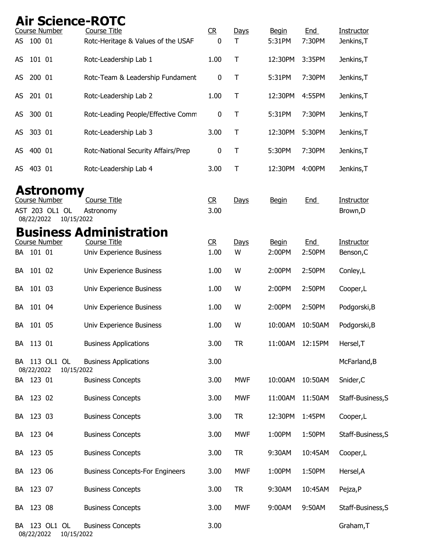## Air Science-ROTC

|           |            | Course Number                | <b>Course Title</b>                    | R    | Days        | <b>Begin</b> | <b>End</b> | Instructor        |
|-----------|------------|------------------------------|----------------------------------------|------|-------------|--------------|------------|-------------------|
| <b>AS</b> | 100 01     |                              | Rotc-Heritage & Values of the USAF     | 0    | Τ           | 5:31PM       | 7:30PM     | Jenkins, T        |
| AS        | 101 01     |                              | Rotc-Leadership Lab 1                  | 1.00 | $\top$      | 12:30PM      | 3:35PM     | Jenkins, T        |
| AS        | 200 01     |                              | Rotc-Team & Leadership Fundament       | 0    | $\top$      | 5:31PM       | 7:30PM     | Jenkins, T        |
| AS        | 201 01     |                              | Rotc-Leadership Lab 2                  | 1.00 | T           | 12:30PM      | 4:55PM     | Jenkins, T        |
| AS        | 300 01     |                              | Rotc-Leading People/Effective Comm     | 0    | $\mathsf T$ | 5:31PM       | 7:30PM     | Jenkins, T        |
|           | AS 303 01  |                              | Rotc-Leadership Lab 3                  | 3.00 | T           | 12:30PM      | 5:30PM     | Jenkins, T        |
| AS        | 400 01     |                              | Rotc-National Security Affairs/Prep    | 0    | T           | 5:30PM       | 7:30PM     | Jenkins, T        |
| AS        | 403 01     |                              | Rotc-Leadership Lab 4                  | 3.00 | $\top$      | 12:30PM      | 4:00PM     | Jenkins, T        |
|           |            | <b>Astronomy</b>             |                                        |      |             |              |            |                   |
|           |            | <b>Course Number</b>         | <b>Course Title</b>                    | CR   | Days        | <b>Begin</b> | End        | Instructor        |
|           | 08/22/2022 | AST 203 OL1 OL<br>10/15/2022 | Astronomy                              | 3.00 |             |              |            | Brown, D          |
|           |            |                              | <b>Business Administration</b>         |      |             |              |            |                   |
|           |            | <b>Course Number</b>         | <b>Course Title</b>                    | CR   | Days        | <b>Begin</b> | <b>End</b> | Instructor        |
|           | BA 101 01  |                              | Univ Experience Business               | 1.00 | W           | 2:00PM       | 2:50PM     | Benson, C         |
| BA        | 101 02     |                              | Univ Experience Business               | 1.00 | W           | 2:00PM       | 2:50PM     | Conley, L         |
|           | BA 101 03  |                              | Univ Experience Business               | 1.00 | W           | 2:00PM       | 2:50PM     | Cooper,L          |
|           | BA 101 04  |                              | Univ Experience Business               | 1.00 | W           | 2:00PM       | 2:50PM     | Podgorski, B      |
| BA        | 101 05     |                              | Univ Experience Business               | 1.00 | W           | 10:00AM      | 10:50AM    | Podgorski, B      |
|           | BA 113 01  |                              | <b>Business Applications</b>           | 3.00 | <b>TR</b>   | 11:00AM      | 12:15PM    | Hersel, T         |
|           | 08/22/2022 | BA 113 OL1 OL<br>10/15/2022  | <b>Business Applications</b>           | 3.00 |             |              |            | McFarland, B      |
|           | BA 123 01  |                              | <b>Business Concepts</b>               | 3.00 | <b>MWF</b>  | 10:00AM      | 10:50AM    | Snider, C         |
|           | BA 123 02  |                              | <b>Business Concepts</b>               | 3.00 | <b>MWF</b>  | 11:00AM      | 11:50AM    | Staff-Business, S |
|           | BA 123 03  |                              | <b>Business Concepts</b>               | 3.00 | <b>TR</b>   | 12:30PM      | 1:45PM     | Cooper, L         |
|           | BA 123 04  |                              | <b>Business Concepts</b>               | 3.00 | <b>MWF</b>  | 1:00PM       | 1:50PM     | Staff-Business, S |
|           | BA 123 05  |                              | <b>Business Concepts</b>               | 3.00 | <b>TR</b>   | 9:30AM       | 10:45AM    | Cooper, L         |
|           | BA 123 06  |                              | <b>Business Concepts-For Engineers</b> | 3.00 | <b>MWF</b>  | 1:00PM       | 1:50PM     | Hersel, A         |
|           | BA 123 07  |                              | <b>Business Concepts</b>               | 3.00 | <b>TR</b>   | 9:30AM       | 10:45AM    | Pejza, P          |
|           | BA 123 08  |                              | <b>Business Concepts</b>               | 3.00 | <b>MWF</b>  | 9:00AM       | 9:50AM     | Staff-Business, S |
|           | 08/22/2022 | BA 123 OL1 OL<br>10/15/2022  | <b>Business Concepts</b>               | 3.00 |             |              |            | Graham, T         |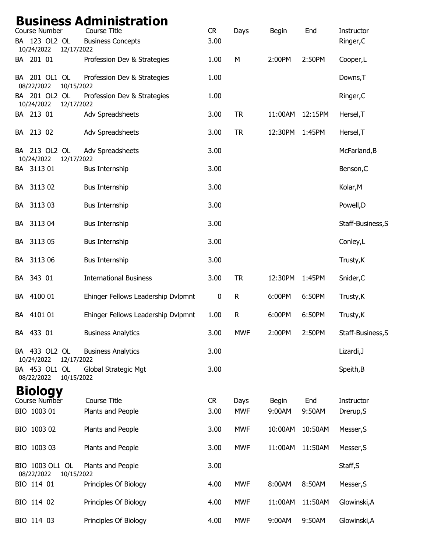| <b>Course Number</b>                        | <b>Business Administration</b><br><b>Course Title</b> | C <sub>R</sub> | Days         | <b>Begin</b> | End        | Instructor        |
|---------------------------------------------|-------------------------------------------------------|----------------|--------------|--------------|------------|-------------------|
| BA 123 OL2 OL<br>10/24/2022<br>12/17/2022   | <b>Business Concepts</b>                              | 3.00           |              |              |            | Ringer, C         |
| BA 201 01                                   | Profession Dev & Strategies                           | 1.00           | M            | 2:00PM       | 2:50PM     | Cooper,L          |
| BA 201 OL1 OL<br>08/22/2022<br>10/15/2022   | Profession Dev & Strategies                           | 1.00           |              |              |            | Downs, T          |
| BA 201 OL2 OL<br>10/24/2022<br>12/17/2022   | Profession Dev & Strategies                           | 1.00           |              |              |            | Ringer, C         |
| BA 213 01                                   | Adv Spreadsheets                                      | 3.00           | <b>TR</b>    | 11:00AM      | 12:15PM    | Hersel, T         |
| BA 213 02                                   | Adv Spreadsheets                                      | 3.00           | <b>TR</b>    | 12:30PM      | 1:45PM     | Hersel, T         |
| BA 213 OL2 OL<br>10/24/2022<br>12/17/2022   | Adv Spreadsheets                                      | 3.00           |              |              |            | McFarland, B      |
| BA 3113 01                                  | <b>Bus Internship</b>                                 | 3.00           |              |              |            | Benson, C         |
| BA 3113 02                                  | <b>Bus Internship</b>                                 | 3.00           |              |              |            | Kolar, M          |
| BA 311303                                   | <b>Bus Internship</b>                                 | 3.00           |              |              |            | Powell, D         |
| 3113 04<br>BA                               | <b>Bus Internship</b>                                 | 3.00           |              |              |            | Staff-Business, S |
| 3113 05<br>BA                               | <b>Bus Internship</b>                                 | 3.00           |              |              |            | Conley, L         |
| 3113 06<br>BA                               | <b>Bus Internship</b>                                 | 3.00           |              |              |            | Trusty, K         |
| 343 01<br>BA                                | <b>International Business</b>                         | 3.00           | <b>TR</b>    | 12:30PM      | 1:45PM     | Snider, C         |
| 4100 01<br>BA                               | Ehinger Fellows Leadership Dvlpmnt                    | 0              | $\mathsf{R}$ | 6:00PM       | 6:50PM     | Trusty, K         |
| 4101 01<br>BA                               | Ehinger Fellows Leadership Dvlpmnt                    | 1.00           | $\mathsf R$  | 6:00PM       | 6:50PM     | Trusty, K         |
| BA 433 01                                   | <b>Business Analytics</b>                             | 3.00           | <b>MWF</b>   | 2:00PM       | 2:50PM     | Staff-Business, S |
| BA 433 OL2 OL<br>10/24/2022<br>12/17/2022   | <b>Business Analytics</b>                             | 3.00           |              |              |            | Lizardi, J        |
| BA 453 OL1 OL<br>08/22/2022<br>10/15/2022   | Global Strategic Mgt                                  | 3.00           |              |              |            | Speith, B         |
| <b>Biology</b>                              |                                                       |                |              |              |            |                   |
| Course Number                               | <b>Course Title</b>                                   | R              | Days         | <b>Begin</b> | <u>End</u> | Instructor        |
| BIO 1003 01                                 | Plants and People                                     | 3.00           | <b>MWF</b>   | 9:00AM       | 9:50AM     | Drerup, S         |
| BIO 1003 02                                 | Plants and People                                     | 3.00           | <b>MWF</b>   | 10:00AM      | 10:50AM    | Messer, S         |
| BIO 1003 03                                 | Plants and People                                     | 3.00           | <b>MWF</b>   | 11:00AM      | 11:50AM    | Messer, S         |
| BIO 1003 OL1 OL<br>08/22/2022<br>10/15/2022 | Plants and People                                     | 3.00           |              |              |            | Staff, S          |
| BIO 114 01                                  | Principles Of Biology                                 | 4.00           | <b>MWF</b>   | 8:00AM       | 8:50AM     | Messer, S         |
| BIO 114 02                                  | Principles Of Biology                                 | 4.00           | <b>MWF</b>   | 11:00AM      | 11:50AM    | Glowinski, A      |
| BIO 114 03                                  | Principles Of Biology                                 | 4.00           | <b>MWF</b>   | 9:00AM       | 9:50AM     | Glowinski, A      |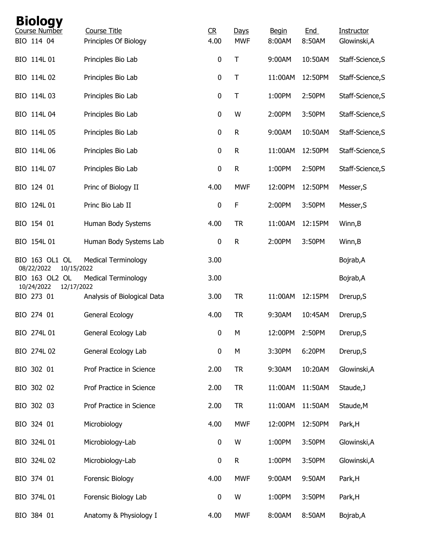| <b>Biology</b><br>Course Number            |                                              |                        |                    |                        |               |                            |
|--------------------------------------------|----------------------------------------------|------------------------|--------------------|------------------------|---------------|----------------------------|
| BIO 114 04                                 | <b>Course Title</b><br>Principles Of Biology | C <sub>R</sub><br>4.00 | Days<br><b>MWF</b> | <b>Begin</b><br>8:00AM | End<br>8:50AM | Instructor<br>Glowinski, A |
| BIO 114L 01                                | Principles Bio Lab                           | $\pmb{0}$              | Τ                  | 9:00AM                 | 10:50AM       | Staff-Science, S           |
| BIO 114L 02                                | Principles Bio Lab                           | $\pmb{0}$              | Τ                  | 11:00AM                | 12:50PM       | Staff-Science, S           |
| BIO 114L 03                                | Principles Bio Lab                           | $\pmb{0}$              | Τ                  | 1:00PM                 | 2:50PM        | Staff-Science, S           |
| BIO 114L 04                                | Principles Bio Lab                           | 0                      | W                  | 2:00PM                 | 3:50PM        | Staff-Science, S           |
| BIO 114L 05                                | Principles Bio Lab                           | $\pmb{0}$              | ${\sf R}$          | 9:00AM                 | 10:50AM       | Staff-Science, S           |
| BIO 114L 06                                | Principles Bio Lab                           | $\pmb{0}$              | $\mathsf{R}$       | 11:00AM                | 12:50PM       | Staff-Science, S           |
| BIO 114L 07                                | Principles Bio Lab                           | 0                      | R                  | 1:00PM                 | 2:50PM        | Staff-Science, S           |
| BIO 124 01                                 | Princ of Biology II                          | 4.00                   | <b>MWF</b>         | 12:00PM                | 12:50PM       | Messer, S                  |
| BIO 124L 01                                | Princ Bio Lab II                             | $\pmb{0}$              | F                  | 2:00PM                 | 3:50PM        | Messer, S                  |
| BIO 154 01                                 | Human Body Systems                           | 4.00                   | <b>TR</b>          | 11:00AM                | 12:15PM       | Winn, B                    |
| BIO 154L 01                                | Human Body Systems Lab                       | $\mathbf 0$            | $\mathsf{R}$       | 2:00PM                 | 3:50PM        | Winn, B                    |
| BIO 163 OL1 OL<br>08/22/2022<br>10/15/2022 | <b>Medical Terminology</b>                   | 3.00                   |                    |                        |               | Bojrab, A                  |
| BIO 163 OL2 OL<br>10/24/2022<br>12/17/2022 | <b>Medical Terminology</b>                   | 3.00                   |                    |                        |               | Bojrab, A                  |
| BIO 273 01                                 | Analysis of Biological Data                  | 3.00                   | <b>TR</b>          | 11:00AM                | 12:15PM       | Drerup, S                  |
| BIO 274 01                                 | General Ecology                              | 4.00                   | <b>TR</b>          | 9:30AM                 | 10:45AM       | Drerup, S                  |
| BIO 274L 01                                | General Ecology Lab                          | $\pmb{0}$              | М                  | 12:00PM                | 2:50PM        | Drerup, S                  |
| BIO 274L 02                                | General Ecology Lab                          | 0                      | M                  | 3:30PM                 | 6:20PM        | Drerup, S                  |
| BIO 302 01                                 | Prof Practice in Science                     | 2.00                   | <b>TR</b>          | 9:30AM                 | 10:20AM       | Glowinski, A               |
| BIO 302 02                                 | Prof Practice in Science                     | 2.00                   | <b>TR</b>          | 11:00AM                | 11:50AM       | Staude, J                  |
| BIO 302 03                                 | Prof Practice in Science                     | 2.00                   | <b>TR</b>          | 11:00AM                | 11:50AM       | Staude, M                  |
| BIO 324 01                                 | Microbiology                                 | 4.00                   | <b>MWF</b>         | 12:00PM                | 12:50PM       | Park, H                    |
| BIO 324L 01                                | Microbiology-Lab                             | $\pmb{0}$              | W                  | 1:00PM                 | 3:50PM        | Glowinski, A               |
| BIO 324L 02                                | Microbiology-Lab                             | 0                      | $\mathsf R$        | 1:00PM                 | 3:50PM        | Glowinski, A               |
| BIO 374 01                                 | Forensic Biology                             | 4.00                   | <b>MWF</b>         | 9:00AM                 | 9:50AM        | Park, H                    |
| BIO 374L 01                                | Forensic Biology Lab                         | $\pmb{0}$              | W                  | 1:00PM                 | 3:50PM        | Park, H                    |
| BIO 384 01                                 | Anatomy & Physiology I                       | 4.00                   | <b>MWF</b>         | 8:00AM                 | 8:50AM        | Bojrab, A                  |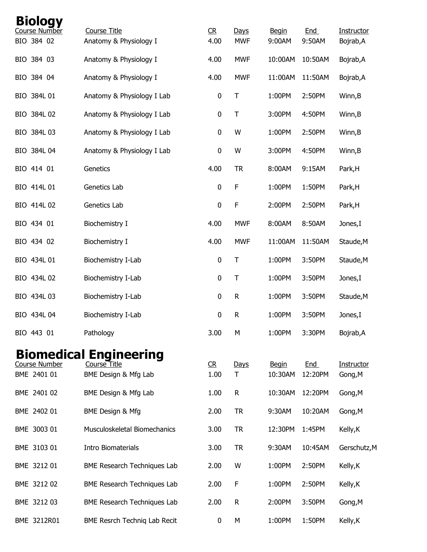| <b>Biology</b><br>Course Number | <b>Course Title</b>                  | R         | Days         | <b>Begin</b>            | End            | Instructor            |
|---------------------------------|--------------------------------------|-----------|--------------|-------------------------|----------------|-----------------------|
| BIO 384 02                      | Anatomy & Physiology I               | 4.00      | <b>MWF</b>   | 9:00AM                  | 9:50AM         | Bojrab, A             |
| BIO 384 03                      | Anatomy & Physiology I               | 4.00      | <b>MWF</b>   | 10:00AM                 | 10:50AM        | Bojrab, A             |
| BIO 384 04                      | Anatomy & Physiology I               | 4.00      | <b>MWF</b>   | 11:00AM                 | 11:50AM        | Bojrab, A             |
| BIO 384L 01                     | Anatomy & Physiology I Lab           | $\pmb{0}$ | $\mathsf T$  | 1:00PM                  | 2:50PM         | Winn, B               |
| BIO 384L 02                     | Anatomy & Physiology I Lab           | 0         | $\sf T$      | 3:00PM                  | 4:50PM         | Winn, B               |
| BIO 384L 03                     | Anatomy & Physiology I Lab           | $\pmb{0}$ | W            | 1:00PM                  | 2:50PM         | Winn, B               |
| BIO 384L 04                     | Anatomy & Physiology I Lab           | 0         | W            | 3:00PM                  | 4:50PM         | Winn, B               |
| BIO 414 01                      | Genetics                             | 4.00      | <b>TR</b>    | 8:00AM                  | 9:15AM         | Park, H               |
| BIO 414L 01                     | Genetics Lab                         | 0         | F            | 1:00PM                  | 1:50PM         | Park, H               |
| BIO 414L 02                     | Genetics Lab                         | 0         | $\mathsf F$  | 2:00PM                  | 2:50PM         | Park, H               |
| BIO 434 01                      | Biochemistry I                       | 4.00      | <b>MWF</b>   | 8:00AM                  | 8:50AM         | Jones, I              |
| BIO 434 02                      | Biochemistry I                       | 4.00      | <b>MWF</b>   | 11:00AM                 | 11:50AM        | Staude, M             |
| BIO 434L 01                     | Biochemistry I-Lab                   | $\pmb{0}$ | $\sf T$      | 1:00PM                  | 3:50PM         | Staude, M             |
| BIO 434L 02                     | Biochemistry I-Lab                   | 0         | $\mathsf T$  | 1:00PM                  | 3:50PM         | Jones, I              |
| BIO 434L 03                     | Biochemistry I-Lab                   | 0         | $\mathsf{R}$ | 1:00PM                  | 3:50PM         | Staude, M             |
| BIO 434L 04                     | Biochemistry I-Lab                   | $\pmb{0}$ | ${\sf R}$    | 1:00PM                  | 3:50PM         | Jones, I              |
| BIO 443 01                      | Pathology                            | 3.00      | М            | 1:00PM                  | 3:30PM         | Bojrab, A             |
|                                 | <b>Biomedical Engineering</b>        |           |              |                         |                |                       |
| Course Number<br>BME 2401 01    | Course Title<br>BME Design & Mfg Lab | R<br>1.00 | Days<br>T    | <b>Begin</b><br>10:30AM | End<br>12:20PM | Instructor<br>Gong, M |
| BME 2401 02                     | BME Design & Mfg Lab                 | 1.00      | R            | 10:30AM                 | 12:20PM        | Gong, M               |
| BME 2402 01                     | <b>BME Design &amp; Mfg</b>          | 2.00      | <b>TR</b>    | 9:30AM                  | 10:20AM        | Gong, M               |
| BME 3003 01                     | Musculoskeletal Biomechanics         | 3.00      | <b>TR</b>    | 12:30PM                 | 1:45PM         | Kelly, K              |
| BME 3103 01                     | <b>Intro Biomaterials</b>            | 3.00      | <b>TR</b>    | 9:30AM                  | 10:45AM        | Gerschutz, M          |
| BME 3212 01                     | BME Research Techniques Lab          | 2.00      | W            | 1:00PM                  | 2:50PM         | Kelly, K              |
| BME 3212 02                     | BME Research Techniques Lab          | 2.00      | F            | 1:00PM                  | 2:50PM         | Kelly, K              |
| BME 3212 03                     | BME Research Techniques Lab          | 2.00      | R            | 2:00PM                  | 3:50PM         | Gong, M               |
| BME 3212R01                     | BME Resrch Techniq Lab Recit         | 0         | М            | 1:00PM                  | 1:50PM         | Kelly, K              |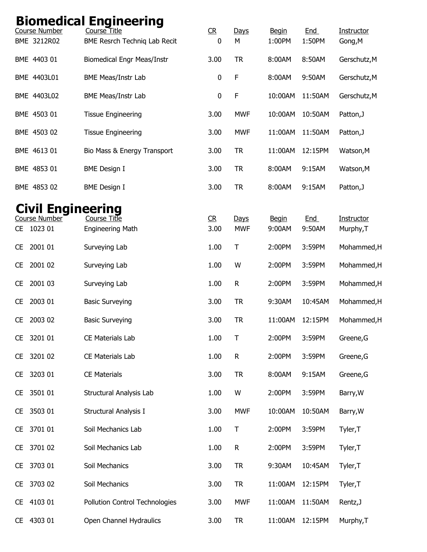|           |                                     | <b>Biomedical Engineering</b>                |                        |                    |                        |                      |                         |
|-----------|-------------------------------------|----------------------------------------------|------------------------|--------------------|------------------------|----------------------|-------------------------|
|           | <b>Course Number</b><br>BME 3212R02 | Course Title<br>BME Resrch Techniq Lab Recit | CR<br>0                | Days<br>M          | <b>Begin</b><br>1:00PM | <b>End</b><br>1:50PM | Instructor<br>Gong, M   |
|           | BME 4403 01                         | <b>Biomedical Engr Meas/Instr</b>            | 3.00                   | <b>TR</b>          | 8:00AM                 | 8:50AM               | Gerschutz, M            |
|           | BME 4403L01                         | <b>BME Meas/Instr Lab</b>                    | 0                      | F                  | 8:00AM                 | 9:50AM               | Gerschutz, M            |
|           | BME 4403L02                         | <b>BME Meas/Instr Lab</b>                    | 0                      | F                  | 10:00AM                | 11:50AM              | Gerschutz, M            |
|           | BME 4503 01                         | <b>Tissue Engineering</b>                    | 3.00                   | <b>MWF</b>         | 10:00AM                | 10:50AM              | Patton, J               |
|           | BME 4503 02                         | <b>Tissue Engineering</b>                    | 3.00                   | <b>MWF</b>         | 11:00AM                | 11:50AM              | Patton, J               |
|           | BME 4613 01                         | Bio Mass & Energy Transport                  | 3.00                   | <b>TR</b>          | 11:00AM                | 12:15PM              | Watson, M               |
|           | BME 4853 01                         | <b>BME</b> Design I                          | 3.00                   | <b>TR</b>          | 8:00AM                 | 9:15AM               | Watson, M               |
|           | BME 4853 02                         | <b>BME Design I</b>                          | 3.00                   | <b>TR</b>          | 8:00AM                 | 9:15AM               | Patton, J               |
|           | <b>Civil Engineering</b>            |                                              |                        |                    |                        |                      |                         |
| CE.       | <b>Course Number</b><br>1023 01     | Course Title<br><b>Engineering Math</b>      | C <sub>R</sub><br>3.00 | Days<br><b>MWF</b> | <b>Begin</b><br>9:00AM | <b>End</b><br>9:50AM | Instructor<br>Murphy, T |
| <b>CE</b> | 2001 01                             | Surveying Lab                                | 1.00                   | T                  | 2:00PM                 | 3:59PM               | Mohammed, H             |
| <b>CE</b> | 2001 02                             | Surveying Lab                                | 1.00                   | W                  | 2:00PM                 | 3:59PM               | Mohammed, H             |
| CE        | 2001 03                             | Surveying Lab                                | 1.00                   | R                  | 2:00PM                 | 3:59PM               | Mohammed, H             |
| <b>CE</b> | 2003 01                             | <b>Basic Surveying</b>                       | 3.00                   | <b>TR</b>          | 9:30AM                 | 10:45AM              | Mohammed, H             |
| <b>CE</b> | 2003 02                             | <b>Basic Surveying</b>                       | 3.00                   | TR                 | 11:00AM                | 12:15PM              | Mohammed, H             |
| <b>CE</b> | 3201 01                             | CE Materials Lab                             | 1.00                   | Τ                  | 2:00PM                 | 3:59PM               | Greene, G               |
| <b>CE</b> | 3201 02                             | CE Materials Lab                             | 1.00                   | ${\sf R}$          | 2:00PM                 | 3:59PM               | Greene, G               |
| <b>CE</b> | 3203 01                             | <b>CE Materials</b>                          | 3.00                   | <b>TR</b>          | 8:00AM                 | 9:15AM               | Greene, G               |
| <b>CE</b> | 3501 01                             | Structural Analysis Lab                      | 1.00                   | W                  | 2:00PM                 | 3:59PM               | Barry, W                |
| CE.       | 3503 01                             | Structural Analysis I                        | 3.00                   | <b>MWF</b>         | 10:00AM                | 10:50AM              | Barry, W                |
| <b>CE</b> | 3701 01                             | Soil Mechanics Lab                           | 1.00                   | T                  | 2:00PM                 | 3:59PM               | Tyler, T                |
| <b>CE</b> | 3701 02                             | Soil Mechanics Lab                           | 1.00                   | ${\sf R}$          | 2:00PM                 | 3:59PM               | Tyler, T                |
| <b>CE</b> | 3703 01                             | Soil Mechanics                               | 3.00                   | <b>TR</b>          | 9:30AM                 | 10:45AM              | Tyler, T                |
| <b>CE</b> | 3703 02                             | Soil Mechanics                               | 3.00                   | <b>TR</b>          | 11:00AM                | 12:15PM              | Tyler, T                |
| <b>CE</b> | 4103 01                             | Pollution Control Technologies               | 3.00                   | <b>MWF</b>         | 11:00AM                | 11:50AM              | Rentz, J                |
| CE.       | 4303 01                             | Open Channel Hydraulics                      | 3.00                   | <b>TR</b>          | 11:00AM                | 12:15PM              | Murphy, T               |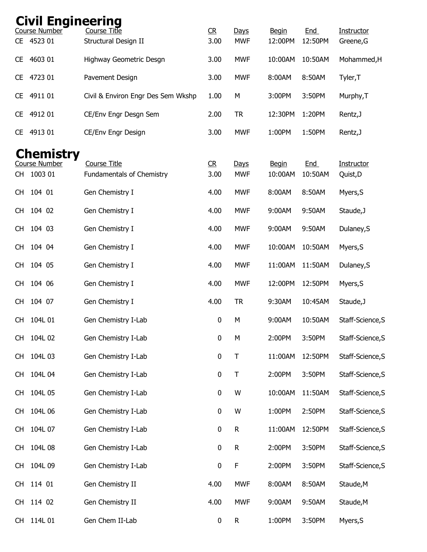| <b>Civil Engineering</b>                                         |                                                         |                        |                    |                         |                       |                         |
|------------------------------------------------------------------|---------------------------------------------------------|------------------------|--------------------|-------------------------|-----------------------|-------------------------|
| Course Number<br>CE 4523 01                                      | Course Title<br>Structural Design II                    | C <sub>R</sub><br>3.00 | Days<br><b>MWF</b> | <b>Begin</b><br>12:00PM | <b>End</b><br>12:50PM | Instructor<br>Greene, G |
| 4603 01<br><b>CE</b>                                             | Highway Geometric Desgn                                 | 3.00                   | <b>MWF</b>         | 10:00AM                 | 10:50AM               | Mohammed, H             |
| 4723 01<br><b>CE</b>                                             | Pavement Design                                         | 3.00                   | <b>MWF</b>         | 8:00AM                  | 8:50AM                | Tyler, T                |
| 4911 01<br><b>CE</b>                                             | Civil & Environ Engr Des Sem Wkshp                      | 1.00                   | M                  | 3:00PM                  | 3:50PM                | Murphy, T               |
| 4912 01<br><b>CE</b>                                             | CE/Env Engr Desgn Sem                                   | 2.00                   | <b>TR</b>          | 12:30PM                 | 1:20PM                | Rentz, J                |
| 4913 01<br><b>CE</b>                                             | CE/Env Engr Design                                      | 3.00                   | <b>MWF</b>         | 1:00PM                  | 1:50PM                | Rentz, J                |
| <b>Chemistry</b><br><b>Course Number</b><br>1003 01<br><b>CH</b> | <b>Course Title</b><br><b>Fundamentals of Chemistry</b> | C <sub>R</sub><br>3.00 | Days<br><b>MWF</b> | <b>Begin</b><br>10:00AM | <u>End</u><br>10:50AM | Instructor<br>Quist, D  |
| 104 01<br><b>CH</b>                                              | Gen Chemistry I                                         | 4.00                   | <b>MWF</b>         | 8:00AM                  | 8:50AM                | Myers, S                |
| 104 02<br><b>CH</b>                                              | Gen Chemistry I                                         | 4.00                   | <b>MWF</b>         | 9:00AM                  | 9:50AM                | Staude, J               |
| 104 03<br><b>CH</b>                                              | Gen Chemistry I                                         | 4.00                   | <b>MWF</b>         | 9:00AM                  | 9:50AM                | Dulaney, S              |
| 104 04<br><b>CH</b>                                              | Gen Chemistry I                                         | 4.00                   | <b>MWF</b>         | 10:00AM                 | 10:50AM               | Myers, S                |
| 104 05<br><b>CH</b>                                              | Gen Chemistry I                                         | 4.00                   | <b>MWF</b>         | 11:00AM                 | 11:50AM               | Dulaney, S              |
| 104 06<br><b>CH</b>                                              | Gen Chemistry I                                         | 4.00                   | <b>MWF</b>         | 12:00PM                 | 12:50PM               | Myers, S                |
| 104 07<br><b>CH</b>                                              | Gen Chemistry I                                         | 4.00                   | <b>TR</b>          | 9:30AM                  | 10:45AM               | Staude, J               |
| 104L 01<br><b>CH</b>                                             | Gen Chemistry I-Lab                                     | $\pmb{0}$              | M                  | 9:00AM                  | 10:50AM               | Staff-Science, S        |
| 104L 02<br><b>CH</b>                                             | Gen Chemistry I-Lab                                     | $\pmb{0}$              | М                  | 2:00PM                  | 3:50PM                | Staff-Science, S        |
| 104L 03<br><b>CH</b>                                             | Gen Chemistry I-Lab                                     | $\pmb{0}$              | T                  | 11:00AM                 | 12:50PM               | Staff-Science, S        |
| 104L 04<br><b>CH</b>                                             | Gen Chemistry I-Lab                                     | $\pmb{0}$              | $\top$             | 2:00PM                  | 3:50PM                | Staff-Science, S        |
| 104L 05<br><b>CH</b>                                             | Gen Chemistry I-Lab                                     | $\boldsymbol{0}$       | W                  | 10:00AM                 | 11:50AM               | Staff-Science, S        |
| 104L 06<br><b>CH</b>                                             | Gen Chemistry I-Lab                                     | $\pmb{0}$              | W                  | 1:00PM                  | 2:50PM                | Staff-Science, S        |
| 104L 07<br><b>CH</b>                                             | Gen Chemistry I-Lab                                     | $\pmb{0}$              | ${\sf R}$          | 11:00AM                 | 12:50PM               | Staff-Science, S        |
| 104L 08<br><b>CH</b>                                             | Gen Chemistry I-Lab                                     | $\pmb{0}$              | ${\sf R}$          | 2:00PM                  | 3:50PM                | Staff-Science, S        |
| 104L 09<br><b>CH</b>                                             | Gen Chemistry I-Lab                                     | $\pmb{0}$              | $\mathsf F$        | 2:00PM                  | 3:50PM                | Staff-Science, S        |
| 114 01<br><b>CH</b>                                              | Gen Chemistry II                                        | 4.00                   | <b>MWF</b>         | 8:00AM                  | 8:50AM                | Staude, M               |
| 114 02<br><b>CH</b>                                              | Gen Chemistry II                                        | 4.00                   | <b>MWF</b>         | 9:00AM                  | 9:50AM                | Staude, M               |
| 114L 01<br>CH.                                                   | Gen Chem II-Lab                                         | $\pmb{0}$              | R                  | 1:00PM                  | 3:50PM                | Myers, S                |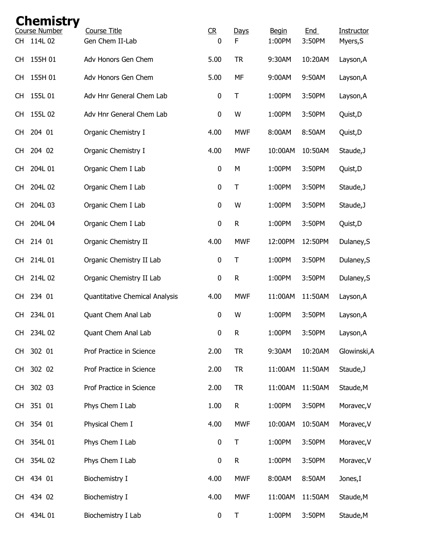|           | <b>Chemistry</b>                |                                        |                             |              |                        |               |                        |
|-----------|---------------------------------|----------------------------------------|-----------------------------|--------------|------------------------|---------------|------------------------|
| <b>CH</b> | <b>Course Number</b><br>114L 02 | <b>Course Title</b><br>Gen Chem II-Lab | C <sub>R</sub><br>$\pmb{0}$ | Days<br>F    | <b>Begin</b><br>1:00PM | End<br>3:50PM | Instructor<br>Myers, S |
| <b>CH</b> | 155H 01                         | Adv Honors Gen Chem                    | 5.00                        | <b>TR</b>    | 9:30AM                 | 10:20AM       | Layson, A              |
| CH.       | 155H 01                         | Adv Honors Gen Chem                    | 5.00                        | MF           | 9:00AM                 | 9:50AM        | Layson, A              |
| <b>CH</b> | 155L 01                         | Adv Hnr General Chem Lab               | $\pmb{0}$                   | T            | 1:00PM                 | 3:50PM        | Layson, A              |
| CH.       | 155L 02                         | Adv Hnr General Chem Lab               | 0                           | W            | 1:00PM                 | 3:50PM        | Quist, D               |
| CH.       | 204 01                          | Organic Chemistry I                    | 4.00                        | <b>MWF</b>   | 8:00AM                 | 8:50AM        | Quist, D               |
| <b>CH</b> | 204 02                          | Organic Chemistry I                    | 4.00                        | <b>MWF</b>   | 10:00AM                | 10:50AM       | Staude, J              |
| <b>CH</b> | 204L 01                         | Organic Chem I Lab                     | $\pmb{0}$                   | M            | 1:00PM                 | 3:50PM        | Quist, D               |
| CH.       | 204L 02                         | Organic Chem I Lab                     | $\pmb{0}$                   | T            | 1:00PM                 | 3:50PM        | Staude, J              |
| CH.       | 204L 03                         | Organic Chem I Lab                     | $\pmb{0}$                   | W            | 1:00PM                 | 3:50PM        | Staude, J              |
| <b>CH</b> | 204L 04                         | Organic Chem I Lab                     | $\pmb{0}$                   | $\mathsf{R}$ | 1:00PM                 | 3:50PM        | Quist, D               |
| <b>CH</b> | 214 01                          | Organic Chemistry II                   | 4.00                        | <b>MWF</b>   | 12:00PM                | 12:50PM       | Dulaney, S             |
| <b>CH</b> | 214L 01                         | Organic Chemistry II Lab               | $\pmb{0}$                   | Τ            | 1:00PM                 | 3:50PM        | Dulaney, S             |
| <b>CH</b> | 214L 02                         | Organic Chemistry II Lab               | $\pmb{0}$                   | $\mathsf R$  | 1:00PM                 | 3:50PM        | Dulaney, S             |
| CH.       | 234 01                          | Quantitative Chemical Analysis         | 4.00                        | <b>MWF</b>   | 11:00AM                | 11:50AM       | Layson, A              |
| <b>CH</b> | 234L 01                         | Quant Chem Anal Lab                    | $\pmb{0}$                   | W            | 1:00PM                 | 3:50PM        | Layson, A              |
| <b>CH</b> | 234L 02                         | Quant Chem Anal Lab                    | $\pmb{0}$                   | ${\sf R}$    | 1:00PM                 | 3:50PM        | Layson, A              |
| CH.       | 302 01                          | Prof Practice in Science               | 2.00                        | <b>TR</b>    | 9:30AM                 | 10:20AM       | Glowinski, A           |
| <b>CH</b> | 302 02                          | Prof Practice in Science               | 2.00                        | <b>TR</b>    | 11:00AM                | 11:50AM       | Staude, J              |
| <b>CH</b> | 302 03                          | Prof Practice in Science               | 2.00                        | <b>TR</b>    | 11:00AM                | 11:50AM       | Staude, M              |
| CH.       | 351 01                          | Phys Chem I Lab                        | 1.00                        | R            | 1:00PM                 | 3:50PM        | Moravec, V             |
| CH.       | 354 01                          | Physical Chem I                        | 4.00                        | <b>MWF</b>   | 10:00AM                | 10:50AM       | Moravec, V             |
| CH        | 354L 01                         | Phys Chem I Lab                        | $\pmb{0}$                   | $\sf T$      | 1:00PM                 | 3:50PM        | Moravec, V             |
| CH        | 354L 02                         | Phys Chem I Lab                        | 0                           | ${\sf R}$    | 1:00PM                 | 3:50PM        | Moravec, V             |
| CH.       | 434 01                          | Biochemistry I                         | 4.00                        | <b>MWF</b>   | 8:00AM                 | 8:50AM        | Jones, I               |
| CH.       | 434 02                          | Biochemistry I                         | 4.00                        | <b>MWF</b>   | 11:00AM                | 11:50AM       | Staude, M              |
| <b>CH</b> | 434L 01                         | Biochemistry I Lab                     | $\pmb{0}$                   | Τ            | 1:00PM                 | 3:50PM        | Staude, M              |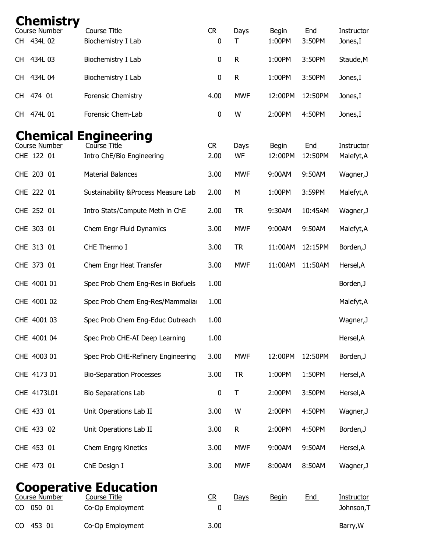| <b>Chemistry</b>                       |                                                                          |                     |                   |                         |                |                          |
|----------------------------------------|--------------------------------------------------------------------------|---------------------|-------------------|-------------------------|----------------|--------------------------|
| <b>Course Number</b><br>434L 02<br>CH. | Course Title<br>Biochemistry I Lab                                       | CR<br>0             | Days<br>T         | <b>Begin</b><br>1:00PM  | End<br>3:50PM  | Instructor<br>Jones,I    |
| 434L 03<br>CH.                         | Biochemistry I Lab                                                       | 0                   | $\mathsf R$       | 1:00PM                  | 3:50PM         | Staude, M                |
| 434L 04<br>CH.                         | Biochemistry I Lab                                                       | $\mathbf 0$         | $\mathsf{R}$      | 1:00PM                  | 3:50PM         | Jones,I                  |
|                                        |                                                                          |                     |                   |                         |                |                          |
| 474 01<br>CH.                          | Forensic Chemistry                                                       | 4.00                | <b>MWF</b>        | 12:00PM                 | 12:50PM        | Jones,I                  |
| 474L 01<br>CH.                         | Forensic Chem-Lab                                                        | 0                   | W                 | 2:00PM                  | 4:50PM         | Jones,I                  |
| <b>Course Number</b><br>CHE 122 01     | <b>Chemical Engineering</b><br>Course Title<br>Intro ChE/Bio Engineering | R<br>2.00           | <u>Days</u><br>WF | <b>Begin</b><br>12:00PM | End<br>12:50PM | Instructor<br>Malefyt, A |
| CHE 203 01                             | <b>Material Balances</b>                                                 | 3.00                | <b>MWF</b>        | 9:00AM                  | 9:50AM         | Wagner, J                |
| CHE 222 01                             | Sustainability & Process Measure Lab                                     | 2.00                | M                 | 1:00PM                  | 3:59PM         | Malefyt, A               |
| CHE 252 01                             | Intro Stats/Compute Meth in ChE                                          | 2.00                | <b>TR</b>         | 9:30AM                  | 10:45AM        | Wagner, J                |
| CHE 303 01                             | Chem Engr Fluid Dynamics                                                 | 3.00                | <b>MWF</b>        | 9:00AM                  | 9:50AM         | Malefyt, A               |
| CHE 313 01                             | CHE Thermo I                                                             | 3.00                | <b>TR</b>         | 11:00AM                 | 12:15PM        | Borden, J                |
| CHE 373 01                             | Chem Engr Heat Transfer                                                  | 3.00                | <b>MWF</b>        | 11:00AM                 | 11:50AM        | Hersel, A                |
| CHE 4001 01                            | Spec Prob Chem Eng-Res in Biofuels                                       | 1.00                |                   |                         |                | Borden, J                |
| CHE 4001 02                            | Spec Prob Chem Eng-Res/Mammaliar                                         | 1.00                |                   |                         |                | Malefyt, A               |
| CHE 4001 03                            | Spec Prob Chem Eng-Educ Outreach                                         | 1.00                |                   |                         |                | Wagner, J                |
| CHE 4001 04                            | Spec Prob CHE-AI Deep Learning                                           | 1.00                |                   |                         |                | Hersel, A                |
| CHE 4003 01                            | Spec Prob CHE-Refinery Engineering                                       | 3.00                | <b>MWF</b>        | 12:00PM                 | 12:50PM        | Borden, J                |
| CHE 4173 01                            | <b>Bio-Separation Processes</b>                                          | 3.00                | <b>TR</b>         | 1:00PM                  | 1:50PM         | Hersel, A                |
| CHE 4173L01                            | <b>Bio Separations Lab</b>                                               | 0                   | $\mathsf T$       | 2:00PM                  | 3:50PM         | Hersel, A                |
| CHE 433 01                             | Unit Operations Lab II                                                   | 3.00                | W                 | 2:00PM                  | 4:50PM         | Wagner, J                |
| CHE 433 02                             | Unit Operations Lab II                                                   | 3.00                | $\mathsf{R}$      | 2:00PM                  | 4:50PM         | Borden, J                |
| CHE 453 01                             | Chem Engrg Kinetics                                                      | 3.00                | <b>MWF</b>        | 9:00AM                  | 9:50AM         | Hersel, A                |
| CHE 473 01                             | ChE Design I                                                             | 3.00                | <b>MWF</b>        | 8:00AM                  | 8:50AM         | Wagner, J                |
|                                        | <b>Cooperative Education</b>                                             |                     |                   |                         |                |                          |
| Course Number<br>050 01<br>CO          | Course Title<br>Co-Op Employment                                         | C <sub>R</sub><br>0 | Days              | <b>Begin</b>            | End            | Instructor<br>Johnson, T |
| 453 01<br>CO                           | Co-Op Employment                                                         | 3.00                |                   |                         |                | Barry, W                 |
|                                        |                                                                          |                     |                   |                         |                |                          |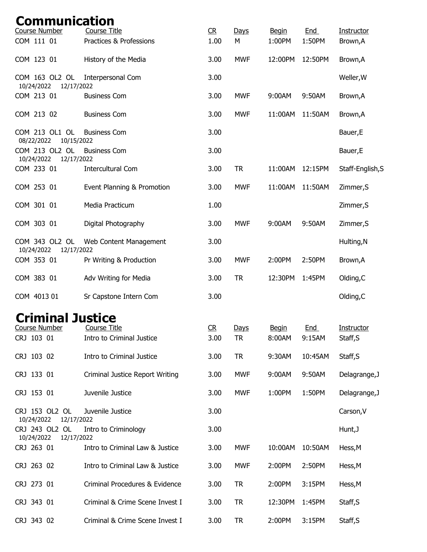| Communication<br>Course Number | <b>Course Title</b>                              | R                              | Days              | <b>Begin</b>           | <b>End</b>           | Instructor             |
|--------------------------------|--------------------------------------------------|--------------------------------|-------------------|------------------------|----------------------|------------------------|
| COM 111 01                     | Practices & Professions                          | 1.00                           | M                 | 1:00PM                 | 1:50PM               | Brown, A               |
| COM 123 01                     | History of the Media                             | 3.00                           | <b>MWF</b>        | 12:00PM                | 12:50PM              | Brown, A               |
| COM 163 OL2 OL<br>10/24/2022   | Interpersonal Com<br>12/17/2022                  | 3.00                           |                   |                        |                      | Weller, W              |
| COM 213 01                     | <b>Business Com</b>                              | 3.00                           | <b>MWF</b>        | 9:00AM                 | 9:50AM               | Brown, A               |
| COM 213 02                     | <b>Business Com</b>                              | 3.00                           | <b>MWF</b>        | 11:00AM                | 11:50AM              | Brown, A               |
| COM 213 OL1 OL<br>08/22/2022   | <b>Business Com</b><br>10/15/2022                | 3.00                           |                   |                        |                      | Bauer, E               |
| COM 213 OL2 OL<br>10/24/2022   | <b>Business Com</b><br>12/17/2022                | 3.00                           |                   |                        |                      | Bauer, E               |
| COM 233 01                     | <b>Intercultural Com</b>                         | 3.00                           | <b>TR</b>         | 11:00AM                | 12:15PM              | Staff-English, S       |
| COM 253 01                     | Event Planning & Promotion                       | 3.00                           | <b>MWF</b>        | 11:00AM                | 11:50AM              | Zimmer, S              |
| COM 301 01                     | Media Practicum                                  | 1.00                           |                   |                        |                      | Zimmer, S              |
| COM 303 01                     | Digital Photography                              | 3.00                           | <b>MWF</b>        | 9:00AM                 | 9:50AM               | Zimmer, S              |
| COM 343 OL2 OL                 | Web Content Management                           | 3.00                           |                   |                        |                      | Hulting, N             |
| 10/24/2022<br>COM 353 01       | 12/17/2022<br>Pr Writing & Production            | 3.00                           | <b>MWF</b>        | 2:00PM                 | 2:50PM               | Brown, A               |
| COM 383 01                     | Adv Writing for Media                            | 3.00                           | <b>TR</b>         | 12:30PM                | 1:45PM               | Olding, C              |
| COM 4013 01                    | Sr Capstone Intern Com                           | 3.00                           |                   |                        |                      | Olding, C              |
| <b>Criminal Justice</b>        |                                                  |                                |                   |                        |                      |                        |
| Course Number<br>CRJ 103 01    | <u>Course Title</u><br>Intro to Criminal Justice | $\overline{\text{CR}}$<br>3.00 | Days<br><b>TR</b> | <b>Begin</b><br>8:00AM | <u>End</u><br>9:15AM | Instructor<br>Staff, S |
| CRJ 103 02                     | Intro to Criminal Justice                        | 3.00                           | <b>TR</b>         | 9:30AM                 | 10:45AM              | Staff, S               |
| CRJ 133 01                     | <b>Criminal Justice Report Writing</b>           | 3.00                           | <b>MWF</b>        | 9:00AM                 | 9:50AM               | Delagrange, J          |
| CRJ 153 01                     | Juvenile Justice                                 | 3.00                           | <b>MWF</b>        | 1:00PM                 | 1:50PM               | Delagrange, J          |
| CRJ 153 OL2 OL                 | Juvenile Justice                                 | 3.00                           |                   |                        |                      | Carson, V              |
| 10/24/2022<br>CRJ 243 OL2 OL   | 12/17/2022<br>Intro to Criminology               | 3.00                           |                   |                        |                      | Hunt, J                |
| 10/24/2022                     | 12/17/2022                                       |                                |                   |                        |                      |                        |
| CRJ 263 01                     | Intro to Criminal Law & Justice                  | 3.00                           | <b>MWF</b>        | 10:00AM                | 10:50AM              | Hess, M                |
| CRJ 263 02                     | Intro to Criminal Law & Justice                  | 3.00                           | <b>MWF</b>        | 2:00PM                 | 2:50PM               | Hess, M                |
| CRJ 273 01                     | Criminal Procedures & Evidence                   | 3.00                           | <b>TR</b>         | 2:00PM                 | 3:15PM               | Hess, M                |
| CRJ 343 01                     | Criminal & Crime Scene Invest I                  | 3.00                           | <b>TR</b>         | 12:30PM                | 1:45PM               | Staff, S               |
| CRJ 343 02                     | Criminal & Crime Scene Invest I                  | 3.00                           | <b>TR</b>         | 2:00PM                 | 3:15PM               | Staff, S               |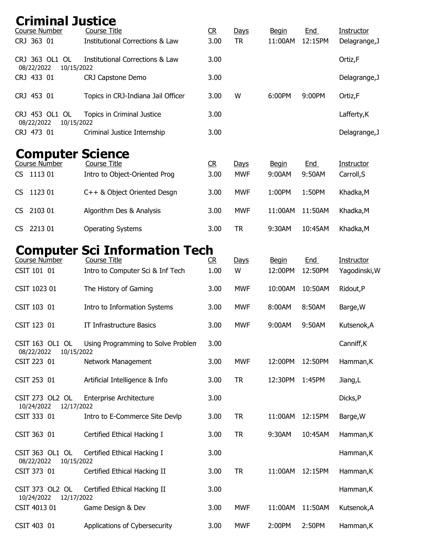| <b>Criminal Justice</b><br>Course Number                  | <b>Course Title</b>                                     | C <sub>R</sub>         | Days               | <b>Begin</b>            | End            | Instructor                  |
|-----------------------------------------------------------|---------------------------------------------------------|------------------------|--------------------|-------------------------|----------------|-----------------------------|
| CRJ 363 01                                                | <b>Institutional Corrections &amp; Law</b>              | 3.00                   | <b>TR</b>          | 11:00AM                 | 12:15PM        | Delagrange, J               |
| CRJ 363 OL1 OL<br>08/22/2022<br>10/15/2022                | <b>Institutional Corrections &amp; Law</b>              | 3.00                   |                    |                         |                | Ortiz,F                     |
| CRJ 433 01                                                | CRJ Capstone Demo                                       | 3.00                   |                    |                         |                | Delagrange, J               |
| CRJ 453 01                                                | Topics in CRJ-Indiana Jail Officer                      | 3.00                   | W                  | 6:00PM                  | 9:00PM         | Ortiz,F                     |
| CRJ 453 OL1 OL<br>08/22/2022<br>10/15/2022                | Topics in Criminal Justice                              | 3.00                   |                    |                         |                | Lafferty, K                 |
| CRJ 473 01                                                | Criminal Justice Internship                             | 3.00                   |                    |                         |                | Delagrange, J               |
| <b>Computer Science</b><br>Course Number<br>1113 01<br>CS | Course Title                                            | C <sub>R</sub><br>3.00 | Days<br><b>MWF</b> | <b>Begin</b><br>9:00AM  | End<br>9:50AM  | Instructor                  |
|                                                           | Intro to Object-Oriented Prog                           |                        |                    |                         |                | Carroll, S                  |
| 1123 01<br><b>CS</b>                                      | C++ & Object Oriented Desgn                             | 3.00                   | <b>MWF</b>         | 1:00PM                  | 1:50PM         | Khadka, M                   |
| 2103 01<br><b>CS</b>                                      | Algorithm Des & Analysis                                | 3.00                   | <b>MWF</b>         | 11:00AM                 | 11:50AM        | Khadka, M                   |
| 2213 01<br>CS.                                            | <b>Operating Systems</b>                                | 3.00                   | <b>TR</b>          | 9:30AM                  | 10:45AM        | Khadka, M                   |
|                                                           | <b>Computer Sci Information Tech</b>                    |                        |                    |                         |                |                             |
| Course Number<br>CSIT 101 01                              | <b>Course Title</b><br>Intro to Computer Sci & Inf Tech | R<br>1.00              | Days<br>W          | <b>Begin</b><br>12:00PM | End<br>12:50PM | Instructor<br>Yagodinski, W |
| CSIT 1023 01                                              | The History of Gaming                                   | 3.00                   | <b>MWF</b>         | 10:00AM                 | 10:50AM        | Ridout, P                   |
| CSIT 103 01                                               | Intro to Information Systems                            | 3.00                   | <b>MWF</b>         | 8:00AM                  | 8:50AM         | Barge, W                    |
| CSIT 123 01                                               | IT Infrastructure Basics                                | 3.00                   | <b>MWF</b>         | 9:00AM                  | 9:50AM         | Kutsenok, A                 |
| CSIT 163 OL1 OL<br>08/22/2022<br>10/15/2022               | Using Programming to Solve Problem                      | 3.00                   |                    |                         |                | Canniff, K                  |
| CSIT 223 01                                               | Network Management                                      | 3.00                   | <b>MWF</b>         | 12:00PM                 | 12:50PM        | Hamman, K                   |
| CSIT 253 01                                               | Artificial Intelligence & Info                          | 3.00                   | <b>TR</b>          | 12:30PM                 | 1:45PM         | Jiang, L                    |
| CSIT 273 OL2 OL<br>10/24/2022<br>12/17/2022               | <b>Enterprise Architecture</b>                          | 3.00                   |                    |                         |                | Dicks, P                    |
| CSIT 333 01                                               | Intro to E-Commerce Site Devlp                          | 3.00                   | <b>TR</b>          | 11:00AM                 | 12:15PM        | Barge, W                    |
| CSIT 363 01                                               | Certified Ethical Hacking I                             | 3.00                   | <b>TR</b>          | 9:30AM                  | 10:45AM        | Hamman, K                   |
| CSIT 363 OL1 OL<br>08/22/2022<br>10/15/2022               | Certified Ethical Hacking I                             | 3.00                   |                    |                         |                | Hamman, K                   |
| CSIT 373 01                                               | Certified Ethical Hacking II                            | 3.00                   | <b>TR</b>          | 11:00AM                 | 12:15PM        | Hamman, K                   |
| CSIT 373 OL2 OL<br>10/24/2022<br>12/17/2022               | Certified Ethical Hacking II                            | 3.00                   |                    |                         |                | Hamman, K                   |
| CSIT 4013 01                                              | Game Design & Dev                                       | 3.00                   | <b>MWF</b>         | 11:00AM                 | 11:50AM        | Kutsenok, A                 |
| CSIT 403 01                                               | Applications of Cybersecurity                           | 3.00                   | <b>MWF</b>         | 2:00PM                  | 2:50PM         | Hamman, K                   |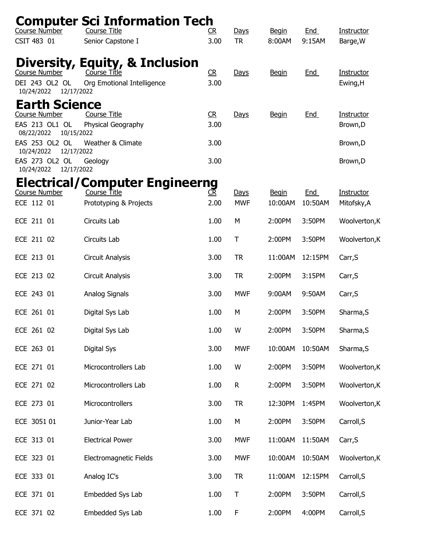| Course Number                                                                                                                                                                          | <b>Computer Sci Information Tech</b><br>Course Title                            | R                                      | Days                      | <b>Begin</b>            | End                   | Instructor                                     |
|----------------------------------------------------------------------------------------------------------------------------------------------------------------------------------------|---------------------------------------------------------------------------------|----------------------------------------|---------------------------|-------------------------|-----------------------|------------------------------------------------|
| CSIT 483 01                                                                                                                                                                            | Senior Capstone I                                                               | 3.00                                   | <b>TR</b>                 | 8:00AM                  | 9:15AM                | Barge, W                                       |
| <b>Course Number</b><br>DEI 243 OL2 OL<br>12/17/2022<br>10/24/2022                                                                                                                     | Diversity, Equity, & Inclusion<br>Course Title<br>Org Emotional Intelligence    | CR<br>3.00                             | Days                      | <b>Begin</b>            | End                   | Instructor<br>Ewing, H                         |
| <b>Earth Science</b><br><b>Course Number</b><br>EAS 213 OL1 OL<br>10/15/2022<br>08/22/2022<br>EAS 253 OL2 OL<br>12/17/2022<br>10/24/2022<br>EAS 273 OL2 OL<br>10/24/2022<br>12/17/2022 | <b>Course Title</b><br>Physical Geography<br>Weather & Climate<br>Geology       | C <sub>R</sub><br>3.00<br>3.00<br>3.00 | Days                      | <b>Begin</b>            | <b>End</b>            | Instructor<br>Brown, D<br>Brown, D<br>Brown, D |
| Course Number<br>ECE 112 01                                                                                                                                                            | <b>Electrical/Computer Engineerng</b><br>Course Title<br>Prototyping & Projects | <u>CR</u><br>2.00                      | <u>Days</u><br><b>MWF</b> | <b>Begin</b><br>10:00AM | <b>End</b><br>10:50AM | Instructor<br>Mitofsky, A                      |
| ECE 211 01                                                                                                                                                                             | Circuits Lab                                                                    | 1.00                                   | M                         | 2:00PM                  | 3:50PM                | Woolverton, K                                  |
| ECE 211 02                                                                                                                                                                             | Circuits Lab                                                                    | 1.00                                   | T                         | 2:00PM                  | 3:50PM                | Woolverton, K                                  |
| ECE 213 01                                                                                                                                                                             | Circuit Analysis                                                                | 3.00                                   | <b>TR</b>                 | 11:00AM                 | 12:15PM               | Carr, S                                        |
| ECE 213 02                                                                                                                                                                             | Circuit Analysis                                                                | 3.00                                   | <b>TR</b>                 | 2:00PM                  | 3:15PM                | Carr, S                                        |
| ECE 243 01                                                                                                                                                                             | Analog Signals                                                                  | 3.00                                   | <b>MWF</b>                | 9:00AM                  | 9:50AM                | Carr, S                                        |
| ECE 261 01                                                                                                                                                                             | Digital Sys Lab                                                                 | 1.00                                   | M                         | 2:00PM                  | 3:50PM                | Sharma, S                                      |
| ECE 261 02                                                                                                                                                                             | Digital Sys Lab                                                                 | 1.00                                   | W                         | 2:00PM                  | 3:50PM                | Sharma, S                                      |
| ECE 263 01                                                                                                                                                                             | Digital Sys                                                                     | 3.00                                   | <b>MWF</b>                | 10:00AM                 | 10:50AM               | Sharma, S                                      |
| ECE 271 01                                                                                                                                                                             | Microcontrollers Lab                                                            | 1.00                                   | W                         | 2:00PM                  | 3:50PM                | Woolverton, K                                  |
| ECE 271 02                                                                                                                                                                             | Microcontrollers Lab                                                            | 1.00                                   | $\mathsf R$               | 2:00PM                  | 3:50PM                | Woolverton, K                                  |
| ECE 273 01                                                                                                                                                                             | Microcontrollers                                                                | 3.00                                   | <b>TR</b>                 | 12:30PM                 | 1:45PM                | Woolverton, K                                  |
| ECE 3051 01                                                                                                                                                                            | Junior-Year Lab                                                                 | 1.00                                   | М                         | 2:00PM                  | 3:50PM                | Carroll, S                                     |
| ECE 313 01                                                                                                                                                                             | <b>Electrical Power</b>                                                         | 3.00                                   | <b>MWF</b>                | 11:00AM                 | 11:50AM               | Carr, S                                        |
| ECE 323 01                                                                                                                                                                             | Electromagnetic Fields                                                          | 3.00                                   | <b>MWF</b>                | 10:00AM                 | 10:50AM               | Woolverton, K                                  |
| ECE 333 01                                                                                                                                                                             | Analog IC's                                                                     | 3.00                                   | <b>TR</b>                 | 11:00AM                 | 12:15PM               | Carroll, S                                     |
| ECE 371 01                                                                                                                                                                             | Embedded Sys Lab                                                                | 1.00                                   | T                         | 2:00PM                  | 3:50PM                | Carroll, S                                     |
| ECE 371 02                                                                                                                                                                             | Embedded Sys Lab                                                                | 1.00                                   | F                         | 2:00PM                  | 4:00PM                | Carroll, S                                     |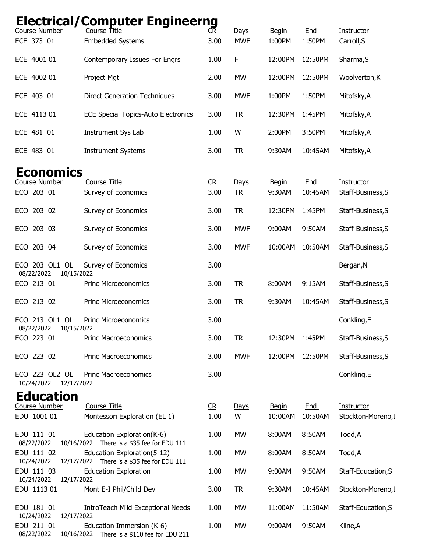| Course Number                                                 | <b>Electrical/Computer Engineerng</b><br>Course Title                     | <u>CR</u>                      | Days                           | <b>Begin</b>                      | End                             | Instructor                                           |
|---------------------------------------------------------------|---------------------------------------------------------------------------|--------------------------------|--------------------------------|-----------------------------------|---------------------------------|------------------------------------------------------|
| ECE 373 01                                                    | <b>Embedded Systems</b>                                                   | 3.00                           | <b>MWF</b>                     | 1:00PM                            | 1:50PM                          | Carroll, S                                           |
| ECE 4001 01                                                   | Contemporary Issues For Engrs                                             | 1.00                           | F                              | 12:00PM                           | 12:50PM                         | Sharma, S                                            |
| ECE 4002 01                                                   | Project Mgt                                                               | 2.00                           | <b>MW</b>                      | 12:00PM                           | 12:50PM                         | Woolverton, K                                        |
| ECE 403 01                                                    | <b>Direct Generation Techniques</b>                                       | 3.00                           | <b>MWF</b>                     | 1:00PM                            | 1:50PM                          | Mitofsky, A                                          |
| ECE 4113 01                                                   | <b>ECE Special Topics-Auto Electronics</b>                                | 3.00                           | <b>TR</b>                      | 12:30PM                           | 1:45PM                          | Mitofsky, A                                          |
| ECE 481 01                                                    | Instrument Sys Lab                                                        | 1.00                           | W                              | 2:00PM                            | 3:50PM                          | Mitofsky, A                                          |
| ECE 483 01                                                    | <b>Instrument Systems</b>                                                 | 3.00                           | <b>TR</b>                      | 9:30AM                            | 10:45AM                         | Mitofsky, A                                          |
| <b>Economics</b><br>Course Number<br>ECO 203 01<br>ECO 203 02 | <b>Course Title</b><br>Survey of Economics<br>Survey of Economics         | C <sub>R</sub><br>3.00<br>3.00 | Days<br><b>TR</b><br><b>TR</b> | <b>Begin</b><br>9:30AM<br>12:30PM | <b>End</b><br>10:45AM<br>1:45PM | Instructor<br>Staff-Business, S<br>Staff-Business, S |
| ECO 203 03                                                    | Survey of Economics                                                       | 3.00                           | <b>MWF</b>                     | 9:00AM                            | 9:50AM                          | Staff-Business, S                                    |
| ECO 203 04                                                    | Survey of Economics                                                       | 3.00                           | <b>MWF</b>                     | 10:00AM                           | 10:50AM                         | Staff-Business, S                                    |
| ECO 203 OL1 OL<br>08/22/2022<br>10/15/2022                    | Survey of Economics                                                       | 3.00                           |                                |                                   |                                 | Bergan, N                                            |
| ECO 213 01                                                    | <b>Princ Microeconomics</b>                                               | 3.00                           | <b>TR</b>                      | 8:00AM                            | 9:15AM                          | Staff-Business, S                                    |
| ECO 213 02                                                    | Princ Microeconomics                                                      | 3.00                           | <b>TR</b>                      | 9:30AM                            | 10:45AM                         | Staff-Business, S                                    |
| ECO 213 OL1 OL<br>08/22/2022<br>10/15/2022                    | <b>Princ Microeconomics</b>                                               | 3.00                           |                                |                                   |                                 | Conkling,E                                           |
| ECO 223 01                                                    | <b>Princ Macroeconomics</b>                                               | 3.00                           | <b>TR</b>                      | 12:30PM                           | 1:45PM                          | Staff-Business, S                                    |
| ECO 223 02                                                    | <b>Princ Macroeconomics</b>                                               | 3.00                           | <b>MWF</b>                     | 12:00PM                           | 12:50PM                         | Staff-Business, S                                    |
| ECO 223 OL2 OL<br>10/24/2022 12/17/2022                       | <b>Princ Macroeconomics</b>                                               | 3.00                           |                                |                                   |                                 | Conkling, E                                          |
| <b>Education</b>                                              |                                                                           |                                |                                |                                   |                                 |                                                      |
| <b>Course Number</b><br>EDU 1001 01                           | <b>Course Title</b><br>Montessori Exploration (EL 1)                      | R<br>1.00                      | Days<br>W                      | <b>Begin</b><br>10:00AM           | End<br>10:50AM                  | Instructor<br>Stockton-Moreno, I                     |
|                                                               |                                                                           |                                |                                |                                   |                                 |                                                      |
| EDU 111 01<br>08/22/2022                                      | Education Exploration(K-6)<br>10/16/2022 There is a \$35 fee for EDU 111  | 1.00                           | <b>MW</b>                      | 8:00AM                            | 8:50AM                          | Todd, A                                              |
| EDU 111 02<br>10/24/2022                                      | Education Exploration(5-12)<br>12/17/2022 There is a \$35 fee for EDU 111 | 1.00                           | <b>MW</b>                      | 8:00AM                            | 8:50AM                          | Todd, A                                              |
| EDU 111 03<br>10/24/2022<br>12/17/2022                        | <b>Education Exploration</b>                                              | 1.00                           | <b>MW</b>                      | 9:00AM                            | 9:50AM                          | Staff-Education, S                                   |
| EDU 1113 01                                                   | Mont E-I Phil/Child Dev                                                   | 3.00                           | <b>TR</b>                      | 9:30AM                            | 10:45AM                         | Stockton-Moreno, l                                   |
| EDU 181 01<br>10/24/2022<br>12/17/2022                        | IntroTeach Mild Exceptional Needs                                         | 1.00                           | <b>MW</b>                      | 11:00AM                           | 11:50AM                         | Staff-Education, S                                   |
| EDU 211 01<br>08/22/2022                                      | Education Immersion (K-6)<br>10/16/2022 There is a \$110 fee for EDU 211  | 1.00                           | <b>MW</b>                      | 9:00AM                            | 9:50AM                          | Kline, A                                             |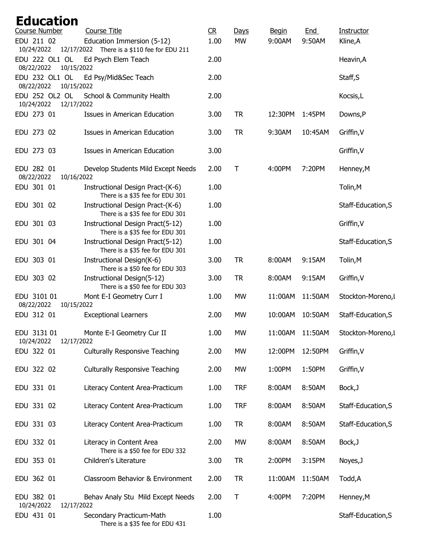| <b>Education</b><br>Course Number | <b>Course Title</b>                                                       | C <sub>R</sub> | Days         | <b>Begin</b> | <b>End</b> | Instructor         |
|-----------------------------------|---------------------------------------------------------------------------|----------------|--------------|--------------|------------|--------------------|
| EDU 211 02<br>10/24/2022          | Education Immersion (5-12)<br>12/17/2022 There is a \$110 fee for EDU 211 | 1.00           | <b>MW</b>    | 9:00AM       | 9:50AM     | Kline, A           |
| EDU 222 OL1 OL<br>08/22/2022      | Ed Psych Elem Teach<br>10/15/2022                                         | 2.00           |              |              |            | Heavin, A          |
| EDU 232 OL1 OL<br>08/22/2022      | Ed Psy/Mid&Sec Teach<br>10/15/2022                                        | 2.00           |              |              |            | Staff, S           |
| EDU 252 OL2 OL<br>10/24/2022      | School & Community Health<br>12/17/2022                                   | 2.00           |              |              |            | Kocsis, L          |
| EDU 273 01                        | Issues in American Education                                              | 3.00           | <b>TR</b>    | 12:30PM      | 1:45PM     | Downs,P            |
| EDU 273 02                        | Issues in American Education                                              | 3.00           | <b>TR</b>    | 9:30AM       | 10:45AM    | Griffin, V         |
| EDU 273 03                        | <b>Issues in American Education</b>                                       | 3.00           |              |              |            | Griffin, V         |
| EDU 282 01<br>08/22/2022          | Develop Students Mild Except Needs<br>10/16/2022                          | 2.00           | $\mathsf{T}$ | 4:00PM       | 7:20PM     | Henney, M          |
| EDU 301 01                        | Instructional Design Pract-(K-6)<br>There is a \$35 fee for EDU 301       | 1.00           |              |              |            | Tolin, M           |
| EDU 301 02                        | Instructional Design Pract-(K-6)<br>There is a \$35 fee for EDU 301       | 1.00           |              |              |            | Staff-Education, S |
| EDU 301 03                        | Instructional Design Pract(5-12)<br>There is a \$35 fee for EDU 301       | 1.00           |              |              |            | Griffin, V         |
| EDU 301 04                        | Instructional Design Pract(5-12)<br>There is a \$35 fee for EDU 301       | 1.00           |              |              |            | Staff-Education, S |
| EDU 303 01                        | Instructional Design(K-6)<br>There is a \$50 fee for EDU 303              | 3.00           | <b>TR</b>    | 8:00AM       | 9:15AM     | Tolin, M           |
| EDU 303 02                        | Instructional Design(5-12)<br>There is a \$50 fee for EDU 303             | 3.00           | <b>TR</b>    | 8:00AM       | 9:15AM     | Griffin, V         |
| EDU 3101 01<br>08/22/2022         | Mont E-I Geometry Curr I<br>10/15/2022                                    | 1.00           | <b>MW</b>    | 11:00AM      | 11:50AM    | Stockton-Moreno, I |
| EDU 312 01                        | <b>Exceptional Learners</b>                                               | 2.00           | <b>MW</b>    | 10:00AM      | 10:50AM    | Staff-Education, S |
| EDU 3131 01<br>10/24/2022         | Monte E-I Geometry Cur II<br>12/17/2022                                   | 1.00           | <b>MW</b>    | 11:00AM      | 11:50AM    | Stockton-Moreno, I |
| EDU 322 01                        | <b>Culturally Responsive Teaching</b>                                     | 2.00           | MW           | 12:00PM      | 12:50PM    | Griffin, V         |
| EDU 322 02                        | <b>Culturally Responsive Teaching</b>                                     | 2.00           | <b>MW</b>    | 1:00PM       | 1:50PM     | Griffin, V         |
| EDU 331 01                        | Literacy Content Area-Practicum                                           | 1.00           | <b>TRF</b>   | 8:00AM       | 8:50AM     | Bock, J            |
| EDU 331 02                        | Literacy Content Area-Practicum                                           | 1.00           | <b>TRF</b>   | 8:00AM       | 8:50AM     | Staff-Education, S |
| EDU 331 03                        | Literacy Content Area-Practicum                                           | 1.00           | <b>TR</b>    | 8:00AM       | 8:50AM     | Staff-Education, S |
| EDU 332 01                        | Literacy in Content Area<br>There is a \$50 fee for EDU 332               | 2.00           | <b>MW</b>    | 8:00AM       | 8:50AM     | Bock, J            |
| EDU 353 01                        | Children's Literature                                                     | 3.00           | <b>TR</b>    | 2:00PM       | 3:15PM     | Noyes, J           |
| EDU 362 01                        | Classroom Behavior & Environment                                          | 2.00           | <b>TR</b>    | 11:00AM      | 11:50AM    | Todd, A            |
| EDU 382 01<br>10/24/2022          | Behav Analy Stu Mild Except Needs<br>12/17/2022                           | 2.00           | Τ            | 4:00PM       | 7:20PM     | Henney, M          |
| EDU 431 01                        | Secondary Practicum-Math<br>There is a \$35 fee for EDU 431               | 1.00           |              |              |            | Staff-Education, S |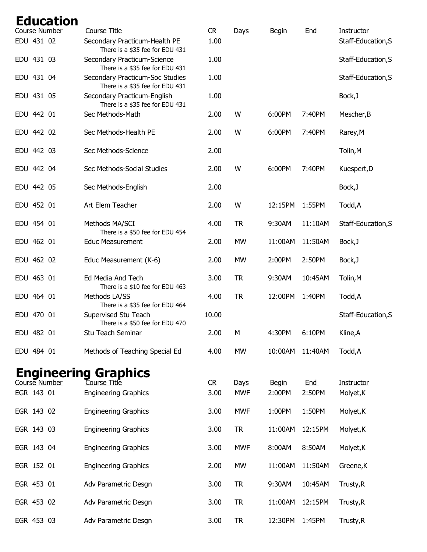| <b>Education</b><br>Course Number | <b>Course Title</b>                                                | R         | Days               | <b>Begin</b>           | End           | Instructor              |
|-----------------------------------|--------------------------------------------------------------------|-----------|--------------------|------------------------|---------------|-------------------------|
| EDU 431 02                        | Secondary Practicum-Health PE<br>There is a \$35 fee for EDU 431   | 1.00      |                    |                        |               | Staff-Education, S      |
| EDU 431 03                        | Secondary Practicum-Science<br>There is a \$35 fee for EDU 431     | 1.00      |                    |                        |               | Staff-Education, S      |
| EDU 431 04                        | Secondary Practicum-Soc Studies<br>There is a \$35 fee for EDU 431 | 1.00      |                    |                        |               | Staff-Education, S      |
| EDU 431 05                        | Secondary Practicum-English<br>There is a \$35 fee for EDU 431     | 1.00      |                    |                        |               | Bock, J                 |
| EDU 442 01                        | Sec Methods-Math                                                   | 2.00      | W                  | 6:00PM                 | 7:40PM        | Mescher, B              |
| EDU 442 02                        | Sec Methods-Health PE                                              | 2.00      | W                  | 6:00PM                 | 7:40PM        | Rarey, M                |
| EDU 442 03                        | Sec Methods-Science                                                | 2.00      |                    |                        |               | Tolin, M                |
| EDU 442 04                        | Sec Methods-Social Studies                                         | 2.00      | W                  | 6:00PM                 | 7:40PM        | Kuespert, D             |
| EDU 442 05                        | Sec Methods-English                                                | 2.00      |                    |                        |               | Bock, J                 |
| EDU 452 01                        | Art Elem Teacher                                                   | 2.00      | W                  | 12:15PM                | 1:55PM        | Todd, A                 |
| EDU 454 01                        | Methods MA/SCI<br>There is a \$50 fee for EDU 454                  | 4.00      | <b>TR</b>          | 9:30AM                 | 11:10AM       | Staff-Education, S      |
| EDU 462 01                        | <b>Educ Measurement</b>                                            | 2.00      | <b>MW</b>          | 11:00AM                | 11:50AM       | Bock, J                 |
| EDU 462 02                        | Educ Measurement (K-6)                                             | 2.00      | <b>MW</b>          | 2:00PM                 | 2:50PM        | Bock, J                 |
| EDU 463 01                        | Ed Media And Tech<br>There is a \$10 fee for EDU 463               | 3.00      | <b>TR</b>          | 9:30AM                 | 10:45AM       | Tolin, M                |
| EDU 464 01                        | Methods LA/SS<br>There is a \$35 fee for EDU 464                   | 4.00      | <b>TR</b>          | 12:00PM                | 1:40PM        | Todd, A                 |
| EDU 470 01                        | Supervised Stu Teach<br>There is a \$50 fee for EDU 470            | 10.00     |                    |                        |               | Staff-Education, S      |
| EDU 482 01                        | Stu Teach Seminar                                                  | 2.00      | M                  | 4:30PM                 | 6:10PM        | Kline, A                |
| EDU 484 01                        | Methods of Teaching Special Ed                                     | 4.00      | <b>MW</b>          | 10:00AM                | 11:40AM       | Todd,A                  |
|                                   | <b>Engineering Graphics</b>                                        |           |                    |                        |               |                         |
| Course Number<br>EGR 143 01       | <b>Course Title</b><br><b>Engineering Graphics</b>                 | R<br>3.00 | Days<br><b>MWF</b> | <b>Begin</b><br>2:00PM | End<br>2:50PM | Instructor<br>Molyet, K |
| EGR 143 02                        | <b>Engineering Graphics</b>                                        | 3.00      | <b>MWF</b>         | 1:00PM                 | 1:50PM        | Molyet, K               |
| EGR 143 03                        | <b>Engineering Graphics</b>                                        | 3.00      | <b>TR</b>          | 11:00AM                | 12:15PM       | Molyet, K               |
| EGR 143 04                        | <b>Engineering Graphics</b>                                        | 3.00      | <b>MWF</b>         | 8:00AM                 | 8:50AM        | Molyet, K               |
| EGR 152 01                        | <b>Engineering Graphics</b>                                        | 2.00      | <b>MW</b>          | 11:00AM                | 11:50AM       | Greene, K               |
| EGR 453 01                        | Adv Parametric Desgn                                               | 3.00      | <b>TR</b>          | 9:30AM                 | 10:45AM       | Trusty, R               |
| EGR 453 02                        | Adv Parametric Desgn                                               | 3.00      | <b>TR</b>          | 11:00AM                | 12:15PM       | Trusty, R               |
| EGR 453 03                        | Adv Parametric Desgn                                               | 3.00      | <b>TR</b>          | 12:30PM                | 1:45PM        | Trusty, R               |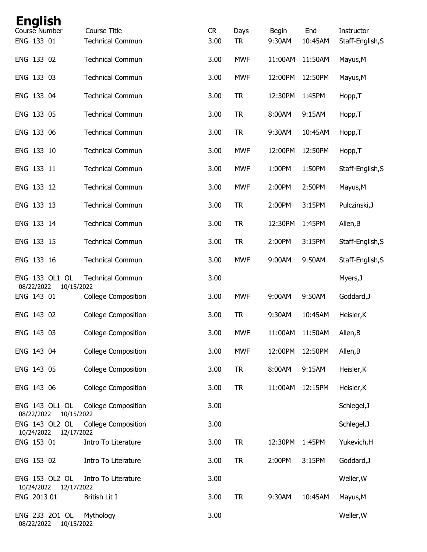| <b>English</b><br>Course Number            | Course Title               | C <sub>R</sub> | Days       | <b>Begin</b> | <b>End</b> | Instructor       |
|--------------------------------------------|----------------------------|----------------|------------|--------------|------------|------------------|
| ENG 133 01                                 | <b>Technical Commun</b>    | 3.00           | <b>TR</b>  | 9:30AM       | 10:45AM    | Staff-English, S |
| ENG 133 02                                 | <b>Technical Commun</b>    | 3.00           | <b>MWF</b> | 11:00AM      | 11:50AM    | Mayus, M         |
| ENG 133 03                                 | <b>Technical Commun</b>    | 3.00           | <b>MWF</b> | 12:00PM      | 12:50PM    | Mayus, M         |
| ENG 133 04                                 | <b>Technical Commun</b>    | 3.00           | <b>TR</b>  | 12:30PM      | 1:45PM     | Hopp, T          |
| ENG 133 05                                 | <b>Technical Commun</b>    | 3.00           | <b>TR</b>  | 8:00AM       | 9:15AM     | Hopp, T          |
| ENG 133 06                                 | <b>Technical Commun</b>    | 3.00           | <b>TR</b>  | 9:30AM       | 10:45AM    | Hopp, T          |
| ENG 133 10                                 | <b>Technical Commun</b>    | 3.00           | <b>MWF</b> | 12:00PM      | 12:50PM    | Hopp, T          |
| ENG 133 11                                 | <b>Technical Commun</b>    | 3.00           | <b>MWF</b> | 1:00PM       | 1:50PM     | Staff-English, S |
| ENG 133 12                                 | <b>Technical Commun</b>    | 3.00           | <b>MWF</b> | 2:00PM       | 2:50PM     | Mayus, M         |
| ENG 133 13                                 | <b>Technical Commun</b>    | 3.00           | <b>TR</b>  | 2:00PM       | 3:15PM     | Pulczinski, J    |
| ENG 133 14                                 | <b>Technical Commun</b>    | 3.00           | <b>TR</b>  | 12:30PM      | 1:45PM     | Allen, B         |
| ENG 133 15                                 | <b>Technical Commun</b>    | 3.00           | <b>TR</b>  | 2:00PM       | 3:15PM     | Staff-English, S |
| ENG 133 16                                 | <b>Technical Commun</b>    | 3.00           | <b>MWF</b> | 9:00AM       | 9:50AM     | Staff-English, S |
| ENG 133 OL1 OL<br>08/22/2022<br>10/15/2022 | <b>Technical Commun</b>    | 3.00           |            |              |            | Myers, J         |
| ENG 143 01                                 | <b>College Composition</b> | 3.00           | <b>MWF</b> | 9:00AM       | 9:50AM     | Goddard, J       |
| ENG 143 02                                 | <b>College Composition</b> | 3.00           | <b>TR</b>  | 9:30AM       | 10:45AM    | Heisler, K       |
| ENG 143 03                                 | <b>College Composition</b> | 3.00           | <b>MWF</b> | 11:00AM      | 11:50AM    | Allen, B         |
| ENG 143 04                                 | <b>College Composition</b> | 3.00           | <b>MWF</b> | 12:00PM      | 12:50PM    | Allen, B         |
| ENG 143 05                                 | <b>College Composition</b> | 3.00           | <b>TR</b>  | 8:00AM       | 9:15AM     | Heisler, K       |
| ENG 143 06                                 | <b>College Composition</b> | 3.00           | <b>TR</b>  | 11:00AM      | 12:15PM    | Heisler, K       |
| ENG 143 OL1 OL<br>08/22/2022<br>10/15/2022 | <b>College Composition</b> | 3.00           |            |              |            | Schlegel, J      |
| ENG 143 OL2 OL<br>10/24/2022<br>12/17/2022 | <b>College Composition</b> | 3.00           |            |              |            | Schlegel, J      |
| ENG 153 01                                 | Intro To Literature        | 3.00           | <b>TR</b>  | 12:30PM      | 1:45PM     | Yukevich, H      |
| ENG 153 02                                 | Intro To Literature        | 3.00           | <b>TR</b>  | 2:00PM       | 3:15PM     | Goddard, J       |
| ENG 153 OL2 OL<br>10/24/2022<br>12/17/2022 | Intro To Literature        | 3.00           |            |              |            | Weller, W        |
| ENG 2013 01                                | British Lit I              | 3.00           | <b>TR</b>  | 9:30AM       | 10:45AM    | Mayus, M         |
| ENG 233 201 OL<br>08/22/2022<br>10/15/2022 | Mythology                  | 3.00           |            |              |            | Weller, W        |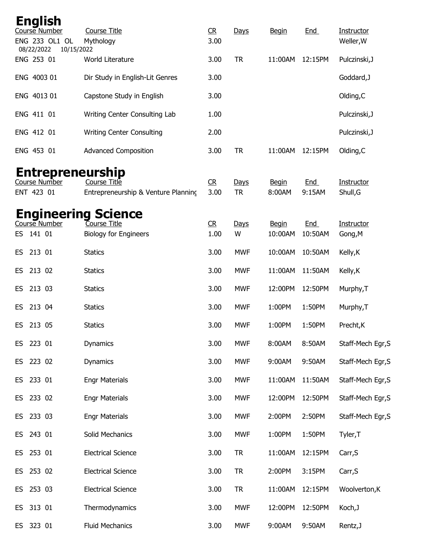|      |                          | <b>English</b>                  |                                                     |                        |                   |                        |                      |                                |
|------|--------------------------|---------------------------------|-----------------------------------------------------|------------------------|-------------------|------------------------|----------------------|--------------------------------|
|      |                          | Course Number<br>ENG 233 OL1 OL | <b>Course Title</b><br>Mythology                    | C <sub>R</sub><br>3.00 | Days              | <b>Begin</b>           | <u>End</u>           | <b>Instructor</b><br>Weller, W |
|      | 08/22/2022<br>ENG 253 01 | 10/15/2022                      | World Literature                                    | 3.00                   | <b>TR</b>         | 11:00AM                | 12:15PM              | Pulczinski, J                  |
|      | ENG 4003 01              |                                 | Dir Study in English-Lit Genres                     | 3.00                   |                   |                        |                      | Goddard, J                     |
|      | ENG 4013 01              |                                 | Capstone Study in English                           | 3.00                   |                   |                        |                      | Olding, C                      |
|      | ENG 411 01               |                                 | Writing Center Consulting Lab                       | 1.00                   |                   |                        |                      | Pulczinski, J                  |
|      | ENG 412 01               |                                 | <b>Writing Center Consulting</b>                    | 2.00                   |                   |                        |                      | Pulczinski, J                  |
|      | ENG 453 01               |                                 | <b>Advanced Composition</b>                         | 3.00                   | <b>TR</b>         | 11:00AM                | 12:15PM              | Olding, C                      |
|      |                          |                                 | <b>Entrepreneurship</b>                             |                        |                   |                        |                      |                                |
|      | ENT 423 01               | Course Number                   | Course Title<br>Entrepreneurship & Venture Planning | CR<br>3.00             | Days<br><b>TR</b> | <b>Begin</b><br>8:00AM | <u>End</u><br>9:15AM | <b>Instructor</b><br>Shull, G  |
|      |                          |                                 | <b>Engineering Science</b>                          |                        |                   |                        |                      |                                |
|      |                          | Course Number                   | Course Title                                        | CR                     | <u>Days</u>       | <b>Begin</b>           | <b>End</b>           | Instructor                     |
|      | ES 141 01                |                                 | <b>Biology for Engineers</b>                        | 1.00                   | W                 | 10:00AM                | 10:50AM              | Gong, M                        |
| ES.  | 213 01                   |                                 | <b>Statics</b>                                      | 3.00                   | <b>MWF</b>        | 10:00AM                | 10:50AM              | Kelly, K                       |
| ES.  | 213 02                   |                                 | <b>Statics</b>                                      | 3.00                   | <b>MWF</b>        | 11:00AM                | 11:50AM              | Kelly, K                       |
| ES.  | 213 03                   |                                 | <b>Statics</b>                                      | 3.00                   | <b>MWF</b>        | 12:00PM                | 12:50PM              | Murphy, T                      |
| ES.  | 213 04                   |                                 | <b>Statics</b>                                      | 3.00                   | <b>MWF</b>        | 1:00PM                 | 1:50PM               | Murphy, T                      |
| ES   | 213 05                   |                                 | <b>Statics</b>                                      | 3.00                   | <b>MWF</b>        | 1:00PM                 | 1:50PM               | Precht, K                      |
|      | ES 223 01                |                                 | <b>Dynamics</b>                                     | 3.00                   | <b>MWF</b>        | 8:00AM                 | 8:50AM               | Staff-Mech Egr, S              |
| ES.  | 223 02                   |                                 | Dynamics                                            | 3.00                   | <b>MWF</b>        | 9:00AM                 | 9:50AM               | Staff-Mech Egr, S              |
| ES   | 233 01                   |                                 | <b>Engr Materials</b>                               | 3.00                   | <b>MWF</b>        | 11:00AM                | 11:50AM              | Staff-Mech Egr, S              |
| ES   | 233 02                   |                                 | <b>Engr Materials</b>                               | 3.00                   | <b>MWF</b>        | 12:00PM                | 12:50PM              | Staff-Mech Egr, S              |
| ES   | 233 03                   |                                 | <b>Engr Materials</b>                               | 3.00                   | <b>MWF</b>        | 2:00PM                 | 2:50PM               | Staff-Mech Egr, S              |
|      | ES 243 01                |                                 | Solid Mechanics                                     | 3.00                   | <b>MWF</b>        | 1:00PM                 | 1:50PM               | Tyler, T                       |
| ES I | 253 01                   |                                 | <b>Electrical Science</b>                           | 3.00                   | <b>TR</b>         | 11:00AM                | 12:15PM              | Carr, S                        |
| ES.  | 253 02                   |                                 | <b>Electrical Science</b>                           | 3.00                   | <b>TR</b>         | 2:00PM                 | 3:15PM               | Carr, S                        |
| ES   | 253 03                   |                                 | <b>Electrical Science</b>                           | 3.00                   | <b>TR</b>         | 11:00AM                | 12:15PM              | Woolverton, K                  |
| ES   | 313 01                   |                                 | Thermodynamics                                      | 3.00                   | <b>MWF</b>        | 12:00PM                | 12:50PM              | Koch, J                        |
| ES   | 323 01                   |                                 | <b>Fluid Mechanics</b>                              | 3.00                   | <b>MWF</b>        | 9:00AM                 | 9:50AM               | Rentz, J                       |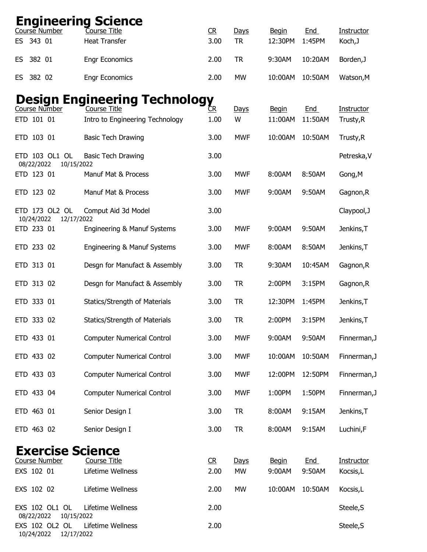|     |            | Course Number                | <b>Engineering Science</b><br>Course Title | C <sub>R</sub> | Days       | <b>Begin</b> | End        | Instructor   |
|-----|------------|------------------------------|--------------------------------------------|----------------|------------|--------------|------------|--------------|
| ES. | 343 01     |                              | <b>Heat Transfer</b>                       | 3.00           | <b>TR</b>  | 12:30PM      | 1:45PM     | Koch, J      |
| ES  | 382 01     |                              | <b>Engr Economics</b>                      | 2.00           | <b>TR</b>  | 9:30AM       | 10:20AM    | Borden, J    |
| ES. | 382 02     |                              | <b>Engr Economics</b>                      | 2.00           | <b>MW</b>  | 10:00AM      | 10:50AM    | Watson, M    |
|     |            |                              | <b>Design Engineering Technology</b>       |                |            |              |            |              |
|     |            | Course Number                | Course Title                               | ČR             | Days       | <b>Begin</b> | <b>End</b> | Instructor   |
|     | ETD 101 01 |                              | Intro to Engineering Technology            | 1.00           | W          | 11:00AM      | 11:50AM    | Trusty, R    |
|     | ETD 103 01 |                              | <b>Basic Tech Drawing</b>                  | 3.00           | <b>MWF</b> | 10:00AM      | 10:50AM    | Trusty, R    |
|     | 08/22/2022 | ETD 103 OL1 OL<br>10/15/2022 | <b>Basic Tech Drawing</b>                  | 3.00           |            |              |            | Petreska, V  |
|     | ETD 123 01 |                              | Manuf Mat & Process                        | 3.00           | <b>MWF</b> | 8:00AM       | 8:50AM     | Gong, M      |
|     | ETD 123 02 |                              | Manuf Mat & Process                        | 3.00           | <b>MWF</b> | 9:00AM       | 9:50AM     | Gagnon, R    |
|     | 10/24/2022 | ETD 173 OL2 OL<br>12/17/2022 | Comput Aid 3d Model                        | 3.00           |            |              |            | Claypool, J  |
|     | ETD 233 01 |                              | Engineering & Manuf Systems                | 3.00           | <b>MWF</b> | 9:00AM       | 9:50AM     | Jenkins, T   |
|     | ETD 233 02 |                              | Engineering & Manuf Systems                | 3.00           | <b>MWF</b> | 8:00AM       | 8:50AM     | Jenkins, T   |
|     | ETD 313 01 |                              | Desgn for Manufact & Assembly              | 3.00           | <b>TR</b>  | 9:30AM       | 10:45AM    | Gagnon, R    |
|     | ETD 313 02 |                              | Desgn for Manufact & Assembly              | 3.00           | <b>TR</b>  | 2:00PM       | 3:15PM     | Gagnon, R    |
|     | ETD 333 01 |                              | Statics/Strength of Materials              | 3.00           | <b>TR</b>  | 12:30PM      | 1:45PM     | Jenkins, T   |
|     | ETD 333 02 |                              | Statics/Strength of Materials              | 3.00           | <b>TR</b>  | 2:00PM       | 3:15PM     | Jenkins, T   |
|     | ETD 433 01 |                              | <b>Computer Numerical Control</b>          | 3.00           | <b>MWF</b> | 9:00AM       | 9:50AM     | Finnerman, J |
|     | ETD 433 02 |                              | <b>Computer Numerical Control</b>          | 3.00           | <b>MWF</b> | 10:00AM      | 10:50AM    | Finnerman, J |
|     | ETD 433 03 |                              | <b>Computer Numerical Control</b>          | 3.00           | <b>MWF</b> | 12:00PM      | 12:50PM    | Finnerman, J |
|     | ETD 433 04 |                              | <b>Computer Numerical Control</b>          | 3.00           | <b>MWF</b> | 1:00PM       | 1:50PM     | Finnerman, J |
|     | ETD 463 01 |                              | Senior Design I                            | 3.00           | <b>TR</b>  | 8:00AM       | 9:15AM     | Jenkins, T   |
|     | ETD 463 02 |                              | Senior Design I                            | 3.00           | <b>TR</b>  | 8:00AM       | 9:15AM     | Luchini,F    |
|     |            |                              | <b>Exercise Science</b>                    |                |            |              |            |              |
|     |            | <b>Course Number</b>         | <b>Course Title</b>                        | C <sub>R</sub> | Days       | <b>Begin</b> | <b>End</b> | Instructor   |
|     | EXS 102 01 |                              | Lifetime Wellness                          | 2.00           | MW         | 9:00AM       | 9:50AM     | Kocsis,L     |
|     | EXS 102 02 |                              | Lifetime Wellness                          | 2.00           | <b>MW</b>  | 10:00AM      | 10:50AM    | Kocsis,L     |
|     | 08/22/2022 | EXS 102 OL1 OL<br>10/15/2022 | Lifetime Wellness                          | 2.00           |            |              |            | Steele, S    |
|     | 10/24/2022 | EXS 102 OL2 OL<br>12/17/2022 | Lifetime Wellness                          | 2.00           |            |              |            | Steele, S    |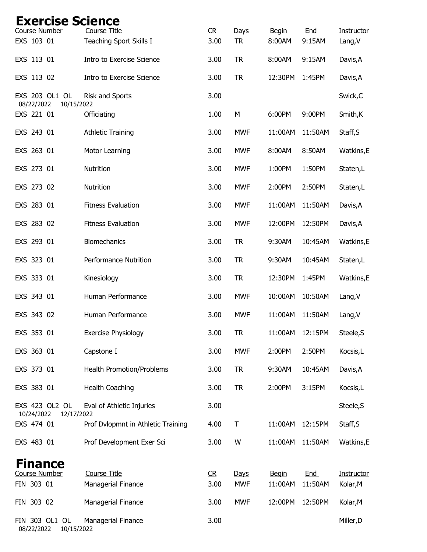| <b>Exercise Science</b>                    |                                                |            |                   |                        |                      |                       |
|--------------------------------------------|------------------------------------------------|------------|-------------------|------------------------|----------------------|-----------------------|
| <b>Course Number</b><br>EXS 103 01         | <b>Course Title</b><br>Teaching Sport Skills I | CR<br>3.00 | Days<br><b>TR</b> | <b>Begin</b><br>8:00AM | <b>End</b><br>9:15AM | Instructor<br>Lang, V |
|                                            |                                                |            |                   |                        |                      |                       |
| EXS 113 01                                 | Intro to Exercise Science                      | 3.00       | <b>TR</b>         | 8:00AM                 | 9:15AM               | Davis, A              |
| EXS 113 02                                 | Intro to Exercise Science                      | 3.00       | <b>TR</b>         | 12:30PM                | 1:45PM               | Davis, A              |
| EXS 203 OL1 OL<br>08/22/2022<br>10/15/2022 | Risk and Sports                                | 3.00       |                   |                        |                      | Swick, C              |
| EXS 221 01                                 | Officiating                                    | 1.00       | M                 | 6:00PM                 | 9:00PM               | Smith, K              |
| EXS 243 01                                 | <b>Athletic Training</b>                       | 3.00       | <b>MWF</b>        | 11:00AM                | 11:50AM              | Staff, S              |
| EXS 263 01                                 | Motor Learning                                 | 3.00       | <b>MWF</b>        | 8:00AM                 | 8:50AM               | Watkins,E             |
| EXS 273 01                                 | Nutrition                                      | 3.00       | <b>MWF</b>        | 1:00PM                 | 1:50PM               | Staten,L              |
| EXS 273 02                                 | Nutrition                                      | 3.00       | <b>MWF</b>        | 2:00PM                 | 2:50PM               | Staten,L              |
| EXS 283 01                                 | <b>Fitness Evaluation</b>                      | 3.00       | <b>MWF</b>        | 11:00AM                | 11:50AM              | Davis, A              |
| EXS 283 02                                 | <b>Fitness Evaluation</b>                      | 3.00       | <b>MWF</b>        | 12:00PM                | 12:50PM              | Davis, A              |
| EXS 293 01                                 | Biomechanics                                   | 3.00       | <b>TR</b>         | 9:30AM                 | 10:45AM              | Watkins,E             |
| EXS 323 01                                 | <b>Performance Nutrition</b>                   | 3.00       | <b>TR</b>         | 9:30AM                 | 10:45AM              | Staten,L              |
| EXS 333 01                                 | Kinesiology                                    | 3.00       | <b>TR</b>         | 12:30PM                | 1:45PM               | Watkins,E             |
| EXS 343 01                                 | Human Performance                              | 3.00       | <b>MWF</b>        | 10:00AM                | 10:50AM              | Lang, V               |
| EXS 343 02                                 | Human Performance                              | 3.00       | <b>MWF</b>        | 11:00AM                | 11:50AM              | Lang, V               |
| EXS 353 01                                 | <b>Exercise Physiology</b>                     | 3.00       | <b>TR</b>         | 11:00AM                | 12:15PM              | Steele, S             |
| EXS 363 01                                 | Capstone I                                     | 3.00       | <b>MWF</b>        | 2:00PM                 | 2:50PM               | Kocsis, L             |
| EXS 373 01                                 | Health Promotion/Problems                      | 3.00       | <b>TR</b>         | 9:30AM                 | 10:45AM              | Davis, A              |
| EXS 383 01                                 | <b>Health Coaching</b>                         | 3.00       | <b>TR</b>         | 2:00PM                 | 3:15PM               | Kocsis, L             |
| EXS 423 OL2 OL                             | Eval of Athletic Injuries                      | 3.00       |                   |                        |                      | Steele, S             |
| 10/24/2022<br>12/17/2022<br>EXS 474 01     | Prof Dvlopmnt in Athletic Training             | 4.00       | T                 | 11:00AM                | 12:15PM              | Staff, S              |
| EXS 483 01                                 | Prof Development Exer Sci                      | 3.00       | W                 | 11:00AM                | 11:50AM              | Watkins,E             |
| <b>Finance</b>                             |                                                |            |                   |                        |                      |                       |
| <b>Course Number</b>                       | Course Title                                   | R          | Days              | <b>Begin</b>           | End                  | Instructor            |
| FIN 303 01                                 | Managerial Finance                             | 3.00       | <b>MWF</b>        | 11:00AM                | 11:50AM              | Kolar, M              |
| FIN 303 02                                 | Managerial Finance                             | 3.00       | <b>MWF</b>        | 12:00PM                | 12:50PM              | Kolar, M              |
| FIN 303 OL1 OL<br>08/22/2022<br>10/15/2022 | Managerial Finance                             | 3.00       |                   |                        |                      | Miller, D             |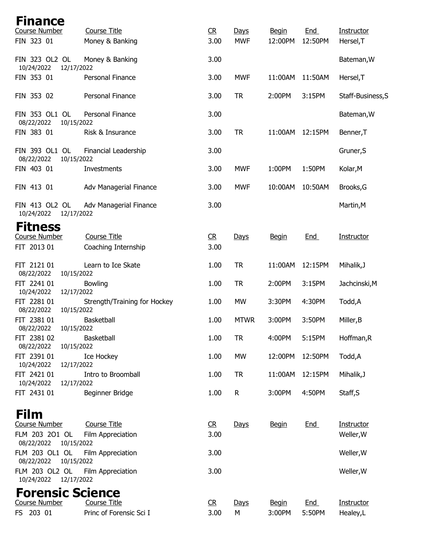| Finance                                    |                                            |                        |              |              |            |                   |
|--------------------------------------------|--------------------------------------------|------------------------|--------------|--------------|------------|-------------------|
| Course Number                              | <b>Course Title</b>                        | C <sub>R</sub>         | Days         | <b>Begin</b> | End        | Instructor        |
| FIN 323 01                                 | Money & Banking                            | 3.00                   | <b>MWF</b>   | 12:00PM      | 12:50PM    | Hersel, T         |
| FIN 323 OL2 OL<br>10/24/2022<br>12/17/2022 | Money & Banking                            | 3.00                   |              |              |            | Bateman, W        |
| FIN 353 01                                 | Personal Finance                           | 3.00                   | <b>MWF</b>   | 11:00AM      | 11:50AM    | Hersel, T         |
| FIN 353 02                                 | Personal Finance                           | 3.00                   | <b>TR</b>    | 2:00PM       | 3:15PM     | Staff-Business, S |
| FIN 353 OL1 OL<br>08/22/2022<br>10/15/2022 | Personal Finance                           | 3.00                   |              |              |            | Bateman, W        |
| FIN 383 01                                 | Risk & Insurance                           | 3.00                   | <b>TR</b>    | 11:00AM      | 12:15PM    | Benner, T         |
| FIN 393 OL1 OL<br>08/22/2022<br>10/15/2022 | Financial Leadership                       | 3.00                   |              |              |            | Gruner, S         |
| FIN 403 01                                 | Investments                                | 3.00                   | <b>MWF</b>   | 1:00PM       | 1:50PM     | Kolar, M          |
| FIN 413 01                                 | Adv Managerial Finance                     | 3.00                   | <b>MWF</b>   | 10:00AM      | 10:50AM    | Brooks, G         |
| FIN 413 OL2 OL<br>10/24/2022<br>12/17/2022 | Adv Managerial Finance                     | 3.00                   |              |              |            | Martin, M         |
| <b>Fitness</b>                             |                                            |                        |              |              |            |                   |
| <b>Course Number</b><br>FIT 2013 01        | <b>Course Title</b><br>Coaching Internship | C <sub>R</sub><br>3.00 | Days         | <b>Begin</b> | <b>End</b> | Instructor        |
| FIT 2121 01                                | Learn to Ice Skate                         | 1.00                   | <b>TR</b>    | 11:00AM      | 12:15PM    | Mihalik, J        |
| 08/22/2022<br>10/15/2022<br>FIT 2241 01    | <b>Bowling</b>                             | 1.00                   | <b>TR</b>    | 2:00PM       | 3:15PM     | Jachcinski, M     |
| 10/24/2022<br>12/17/2022<br>FIT 2281 01    | Strength/Training for Hockey               | 1.00                   | <b>MW</b>    | 3:30PM       | 4:30PM     | Todd,A            |
| 10/15/2022<br>08/22/2022<br>FIT 2381 01    | Basketball                                 | 1.00                   | <b>MTWR</b>  | 3:00PM       | 3:50PM     | Miller, B         |
| 10/15/2022<br>08/22/2022                   |                                            |                        |              |              |            |                   |
| FIT 2381 02<br>08/22/2022<br>10/15/2022    | <b>Basketball</b>                          | 1.00                   | <b>TR</b>    | 4:00PM       | 5:15PM     | Hoffman, R        |
| FIT 2391 01<br>10/24/2022<br>12/17/2022    | Ice Hockey                                 | 1.00                   | <b>MW</b>    | 12:00PM      | 12:50PM    | Todd,A            |
| FIT 2421 01<br>12/17/2022<br>10/24/2022    | Intro to Broomball                         | 1.00                   | <b>TR</b>    | 11:00AM      | 12:15PM    | Mihalik, J        |
| FIT 2431 01                                | Beginner Bridge                            | 1.00                   | $\mathsf{R}$ | 3:00PM       | 4:50PM     | Staff, S          |
| <b>Film</b>                                |                                            |                        |              |              |            |                   |
| Course Number                              | <b>Course Title</b>                        | R                      | Days         | <b>Begin</b> | End        | Instructor        |
| FLM 203 201 OL<br>08/22/2022<br>10/15/2022 | Film Appreciation                          | 3.00                   |              |              |            | Weller, W         |
| FLM 203 OL1 OL<br>10/15/2022<br>08/22/2022 | Film Appreciation                          | 3.00                   |              |              |            | Weller, W         |
| FLM 203 OL2 OL<br>10/24/2022 12/17/2022    | Film Appreciation                          | 3.00                   |              |              |            | Weller, W         |
| <b>Forensic Science</b>                    |                                            |                        |              |              |            |                   |
| <b>Course Number</b>                       | <b>Course Title</b>                        | C <sub>R</sub>         | Days         | <b>Begin</b> | End        | Instructor        |
| FS 203 01                                  | Princ of Forensic Sci I                    | 3.00                   | M            | 3:00PM       | 5:50PM     | Healey,L          |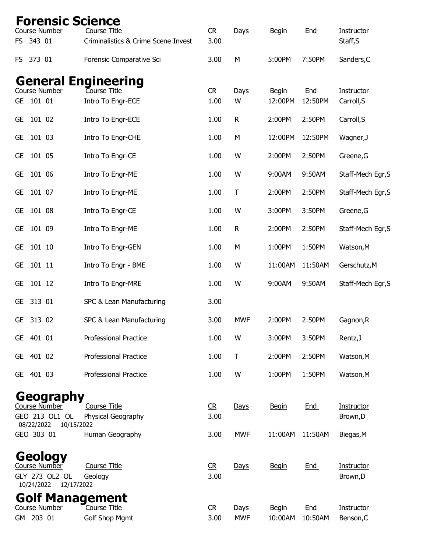| <b>Forensic Science</b><br>Course Number                               | <b>Course Title</b>                   | C <sub>R</sub>         | Days               | <b>Begin</b>            | End                   | Instructor                     |
|------------------------------------------------------------------------|---------------------------------------|------------------------|--------------------|-------------------------|-----------------------|--------------------------------|
| FS 343 01                                                              | Criminalistics & Crime Scene Invest   | 3.00                   |                    |                         |                       | Staff, S                       |
| FS 373 01                                                              | Forensic Comparative Sci              | 3.00                   | M                  | 5:00PM                  | 7:50PM                | Sanders, C                     |
| <b>General Engineering</b><br>Course Number<br>101 01<br>GE            | Course Title<br>Intro To Engr-ECE     | C <sub>R</sub><br>1.00 | Days<br>W          | <b>Begin</b><br>12:00PM | <b>End</b><br>12:50PM | Instructor<br>Carroll, S       |
| <b>GE</b><br>101 02                                                    | Intro To Engr-ECE                     | 1.00                   | ${\sf R}$          | 2:00PM                  | 2:50PM                | Carroll, S                     |
| 101 03<br><b>GE</b>                                                    | Intro To Engr-CHE                     | 1.00                   | M                  | 12:00PM                 | 12:50PM               | Wagner, J                      |
| 101 05<br><b>GE</b>                                                    | Intro To Engr-CE                      | 1.00                   | W                  | 2:00PM                  | 2:50PM                | Greene, G                      |
| 101 06<br><b>GE</b>                                                    | Intro To Engr-ME                      | 1.00                   | W                  | 9:00AM                  | 9:50AM                | Staff-Mech Egr, S              |
| 101 07<br><b>GE</b>                                                    | Intro To Engr-ME                      | 1.00                   | T                  | 2:00PM                  | 2:50PM                | Staff-Mech Egr, S              |
| 101 08<br><b>GE</b>                                                    | Intro To Engr-CE                      | 1.00                   | W                  | 3:00PM                  | 3:50PM                | Greene, G                      |
| 101 09<br>GE                                                           | Intro To Engr-ME                      | 1.00                   | $\mathsf R$        | 2:00PM                  | 2:50PM                | Staff-Mech Egr, S              |
| 101 10<br><b>GE</b>                                                    | Intro To Engr-GEN                     | 1.00                   | M                  | 1:00PM                  | 1:50PM                | Watson, M                      |
| 101 11<br><b>GE</b>                                                    | Intro To Engr - BME                   | 1.00                   | W                  | 11:00AM                 | 11:50AM               | Gerschutz, M                   |
| 101 12<br><b>GE</b>                                                    | Intro To Engr-MRE                     | 1.00                   | W                  | 9:00AM                  | 9:50AM                | Staff-Mech Egr, S              |
| 313 01<br><b>GE</b>                                                    | SPC & Lean Manufacturing              | 3.00                   |                    |                         |                       |                                |
| 313 02<br><b>GE</b>                                                    | SPC & Lean Manufacturing              | 3.00                   | <b>MWF</b>         | 2:00PM                  | 2:50PM                | Gagnon, R                      |
| 401 01<br>GE.                                                          | <b>Professional Practice</b>          | 1.00                   | W                  | 3:00PM                  | 3:50PM                | Rentz, J                       |
| GE 401 02                                                              | <b>Professional Practice</b>          | 1.00                   | T                  | 2:00PM                  | 2:50PM                | Watson, M                      |
| GE 401 03                                                              | <b>Professional Practice</b>          | 1.00                   | W                  | 1:00PM                  | 1:50PM                | Watson, M                      |
| Geography<br>Course Number                                             | Course Title                          | C <sub>R</sub>         | Days               | <b>Begin</b>            | End                   | <b>Instructor</b>              |
| GEO 213 OL1 OL<br>08/22/2022<br>10/15/2022                             | Physical Geography                    | 3.00                   |                    |                         |                       | Brown, D                       |
| GEO 303 01                                                             | Human Geography                       | 3.00                   | <b>MWF</b>         | 11:00AM                 | 11:50AM               | Biegas, M                      |
| Geology<br>Course Number<br>GLY 273 OL2 OL<br>10/24/2022<br>12/17/2022 | <b>Course Title</b><br>Geology        | C <sub>R</sub><br>3.00 | Days               | <b>Begin</b>            | <b>End</b>            | Instructor<br>Brown, D         |
| <b>Golf Management</b><br><b>Course Number</b><br>203 01<br>GM         | Course Title<br><b>Golf Shop Mgmt</b> | C <sub>R</sub><br>3.00 | Days<br><b>MWF</b> | <b>Begin</b><br>10:00AM | End<br>10:50AM        | <b>Instructor</b><br>Benson, C |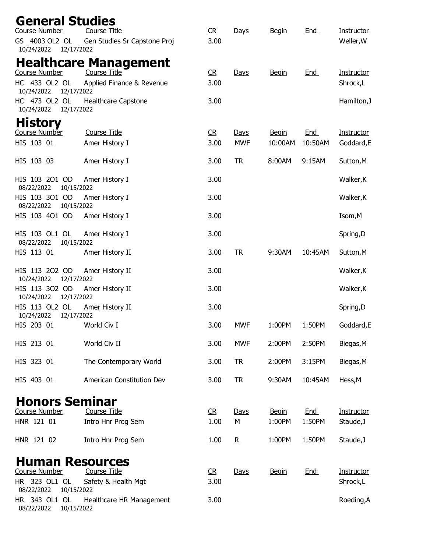| <b>General Studies</b>                     |                                                  |                        |                    |                         |                       |                                 |
|--------------------------------------------|--------------------------------------------------|------------------------|--------------------|-------------------------|-----------------------|---------------------------------|
| Course Number                              | <b>Course Title</b>                              | C <sub>R</sub>         | Days               | <b>Begin</b>            | End                   | <b>Instructor</b>               |
| GS 4003 OL2 OL<br>10/24/2022<br>12/17/2022 | Gen Studies Sr Capstone Proj                     | 3.00                   |                    |                         |                       | Weller, W                       |
|                                            | <b>Healthcare Management</b>                     |                        |                    |                         |                       |                                 |
| <b>Course Number</b><br>HC 433 OL2 OL      | <b>Course Title</b><br>Applied Finance & Revenue | C <sub>R</sub><br>3.00 | Days               | <b>Begin</b>            | End                   | <b>Instructor</b><br>Shrock,L   |
| 10/24/2022<br>12/17/2022                   |                                                  |                        |                    |                         |                       |                                 |
| HC 473 OL2 OL<br>10/24/2022<br>12/17/2022  | <b>Healthcare Capstone</b>                       | 3.00                   |                    |                         |                       | Hamilton, J                     |
| <b>History</b>                             |                                                  |                        |                    |                         |                       |                                 |
| Course Number<br>HIS 103 01                | <b>Course Title</b><br>Amer History I            | R<br>3.00              | Days<br><b>MWF</b> | <b>Begin</b><br>10:00AM | <u>End</u><br>10:50AM | <b>Instructor</b><br>Goddard, E |
|                                            |                                                  |                        |                    |                         |                       |                                 |
| HIS 103 03                                 | Amer History I                                   | 3.00                   | <b>TR</b>          | 8:00AM                  | 9:15AM                | Sutton, M                       |
| HIS 103 201 OD<br>08/22/2022<br>10/15/2022 | Amer History I                                   | 3.00                   |                    |                         |                       | Walker, K                       |
| HIS 103 301 OD<br>08/22/2022<br>10/15/2022 | Amer History I                                   | 3.00                   |                    |                         |                       | Walker, K                       |
| HIS 103 401 OD                             | Amer History I                                   | 3.00                   |                    |                         |                       | Isom, M                         |
| HIS 103 OL1 OL<br>08/22/2022<br>10/15/2022 | Amer History I                                   | 3.00                   |                    |                         |                       | Spring,D                        |
| HIS 113 01                                 | Amer History II                                  | 3.00                   | <b>TR</b>          | 9:30AM                  | 10:45AM               | Sutton, M                       |
| HIS 113 202 OD<br>10/24/2022<br>12/17/2022 | Amer History II                                  | 3.00                   |                    |                         |                       | Walker, K                       |
| HIS 113 302 OD<br>12/17/2022<br>10/24/2022 | Amer History II                                  | 3.00                   |                    |                         |                       | Walker, K                       |
| HIS 113 OL2 OL<br>10/24/2022<br>12/17/2022 | Amer History II                                  | 3.00                   |                    |                         |                       | Spring,D                        |
| HIS 203 01                                 | World Civ I                                      | 3.00                   | <b>MWF</b>         | 1:00PM                  | 1:50PM                | Goddard, E                      |
| HIS 213 01                                 | World Civ II                                     | 3.00                   | <b>MWF</b>         | 2:00PM                  | 2:50PM                | Biegas, M                       |
| HIS 323 01                                 | The Contemporary World                           | 3.00                   | <b>TR</b>          | 2:00PM                  | 3:15PM                | Biegas, M                       |
| HIS 403 01                                 | American Constitution Dev                        | 3.00                   | <b>TR</b>          | 9:30AM                  | 10:45AM               | Hess, M                         |
| <b>Honors Seminar</b>                      |                                                  |                        |                    |                         |                       |                                 |
| Course Number                              | <b>Course Title</b>                              | R                      | Days               | <b>Begin</b>            | End                   | Instructor                      |
| HNR 121 01                                 | Intro Hnr Prog Sem                               | 1.00                   | M                  | 1:00PM                  | 1:50PM                | Staude, J                       |
| HNR 121 02                                 | Intro Hnr Prog Sem                               | 1.00                   | R                  | 1:00PM                  | 1:50PM                | Staude, J                       |
| <b>Human Resources</b>                     |                                                  |                        |                    |                         |                       |                                 |
| <b>Course Number</b>                       | <b>Course Title</b>                              | R                      | Days               | <b>Begin</b>            | <b>End</b>            | Instructor                      |
| HR 323 OL1 OL<br>08/22/2022<br>10/15/2022  | Safety & Health Mgt                              | 3.00                   |                    |                         |                       | Shrock,L                        |
| HR 343 OL1 OL<br>10/15/2022<br>08/22/2022  | Healthcare HR Management                         | 3.00                   |                    |                         |                       | Roeding, A                      |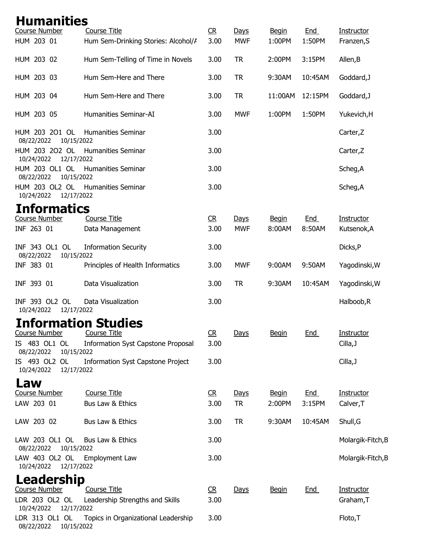| <b>Humanities</b>                                             |                                           |      |            |              |            |                   |
|---------------------------------------------------------------|-------------------------------------------|------|------------|--------------|------------|-------------------|
| Course Number                                                 | <b>Course Title</b>                       | R    | Days       | <b>Begin</b> | End        | Instructor        |
| HUM 203 01                                                    | Hum Sem-Drinking Stories: Alcohol/A       | 3.00 | <b>MWF</b> | 1:00PM       | 1:50PM     | Franzen, S        |
| HUM 203 02                                                    | Hum Sem-Telling of Time in Novels         | 3.00 | <b>TR</b>  | 2:00PM       | 3:15PM     | Allen, B          |
| HUM 203 03                                                    | Hum Sem-Here and There                    | 3.00 | <b>TR</b>  | 9:30AM       | 10:45AM    | Goddard, J        |
| HUM 203 04                                                    | Hum Sem-Here and There                    | 3.00 | <b>TR</b>  | 11:00AM      | 12:15PM    | Goddard, J        |
| HUM 203 05                                                    | Humanities Seminar-AI                     | 3.00 | <b>MWF</b> | 1:00PM       | 1:50PM     | Yukevich, H       |
| HUM 203 201 OL<br>08/22/2022<br>10/15/2022                    | <b>Humanities Seminar</b>                 | 3.00 |            |              |            | Carter, Z         |
| HUM 203 202 OL<br>10/24/2022<br>12/17/2022                    | <b>Humanities Seminar</b>                 | 3.00 |            |              |            | Carter, Z         |
| HUM 203 OL1 OL<br>08/22/2022<br>10/15/2022                    | <b>Humanities Seminar</b>                 | 3.00 |            |              |            | Scheg, A          |
| HUM 203 OL2 OL Humanities Seminar<br>10/24/2022<br>12/17/2022 |                                           | 3.00 |            |              |            | Scheg, A          |
| <b>Informatics</b>                                            |                                           |      |            |              |            |                   |
| <b>Course Number</b>                                          | <b>Course Title</b>                       | R    | Days       | <b>Begin</b> | <b>End</b> | Instructor        |
| INF 263 01                                                    | Data Management                           | 3.00 | <b>MWF</b> | 8:00AM       | 8:50AM     | Kutsenok, A       |
| INF 343 OL1 OL<br>08/22/2022<br>10/15/2022                    | <b>Information Security</b>               | 3.00 |            |              |            | Dicks, P          |
| INF 383 01                                                    | Principles of Health Informatics          | 3.00 | <b>MWF</b> | 9:00AM       | 9:50AM     | Yagodinski, W     |
| INF 393 01                                                    | Data Visualization                        | 3.00 | <b>TR</b>  | 9:30AM       | 10:45AM    | Yagodinski, W     |
| INF 393 OL2 OL<br>10/24/2022<br>12/17/2022                    | Data Visualization                        | 3.00 |            |              |            | Halboob, R        |
| <b>Information Studies</b>                                    |                                           |      |            |              |            |                   |
| <b>Course Number</b>                                          | <b>Course Title</b>                       | R    | Days       | <b>Begin</b> | <b>End</b> | Instructor        |
| IS 483 OL1 OL<br>08/22/2022<br>10/15/2022                     | <b>Information Syst Capstone Proposal</b> | 3.00 |            |              |            | Cilla, J          |
| IS 493 OL2 OL<br>10/24/2022<br>12/17/2022                     | <b>Information Syst Capstone Project</b>  | 3.00 |            |              |            | Cilla, J          |
| Law                                                           |                                           |      |            |              |            |                   |
| <b>Course Number</b>                                          | <b>Course Title</b>                       | R    | Days       | <b>Begin</b> | End        | Instructor        |
| LAW 203 01                                                    | Bus Law & Ethics                          | 3.00 | <b>TR</b>  | 2:00PM       | 3:15PM     | Calver, T         |
| LAW 203 02                                                    | Bus Law & Ethics                          | 3.00 | <b>TR</b>  | 9:30AM       | 10:45AM    | Shull, G          |
| LAW 203 OL1 OL<br>08/22/2022<br>10/15/2022                    | Bus Law & Ethics                          | 3.00 |            |              |            | Molargik-Fitch, B |
| LAW 403 OL2 OL Employment Law<br>12/17/2022<br>10/24/2022     |                                           | 3.00 |            |              |            | Molargik-Fitch, B |
| Leadership                                                    |                                           |      |            |              |            |                   |
| Course Number                                                 | <b>Course Title</b>                       | R    | Days       | <b>Begin</b> | <b>End</b> | Instructor        |
| LDR 203 OL2 OL<br>10/24/2022 12/17/2022                       | Leadership Strengths and Skills           | 3.00 |            |              |            | Graham, T         |
| LDR 313 OL1 OL<br>08/22/2022<br>10/15/2022                    | Topics in Organizational Leadership       | 3.00 |            |              |            | Floto, T          |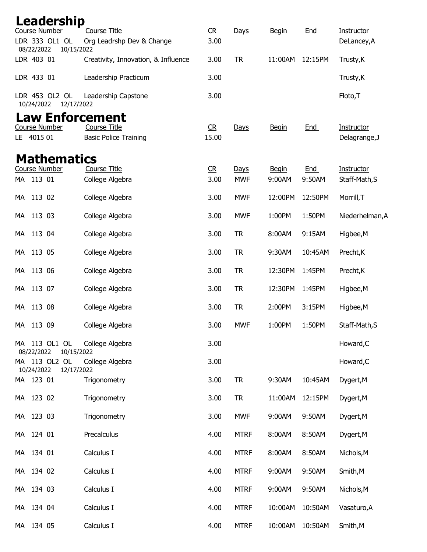| Leadership                             |                                               |                        |                    |                        |                      |                             |
|----------------------------------------|-----------------------------------------------|------------------------|--------------------|------------------------|----------------------|-----------------------------|
| <b>Course Number</b><br>LDR 333 OL1 OL | <b>Course Title</b>                           | C <sub>R</sub><br>3.00 | Days               | <b>Begin</b>           | <b>End</b>           | Instructor                  |
| 08/22/2022                             | Org Leadrshp Dev & Change<br>10/15/2022       |                        |                    |                        |                      | DeLancey, A                 |
| LDR 403 01                             | Creativity, Innovation, & Influence           | 3.00                   | <b>TR</b>          | 11:00AM                | 12:15PM              | Trusty, K                   |
| LDR 433 01                             | Leadership Practicum                          | 3.00                   |                    |                        |                      | Trusty, K                   |
| LDR 453 OL2 OL<br>10/24/2022           | Leadership Capstone<br>12/17/2022             | 3.00                   |                    |                        |                      | Floto, T                    |
| <b>Course Number</b>                   | <b>Law Enforcement</b><br><b>Course Title</b> | CR                     |                    |                        | <b>End</b>           | Instructor                  |
| LE 4015 01                             | <b>Basic Police Training</b>                  | 15.00                  | Days               | <b>Begin</b>           |                      | Delagrange, J               |
| <b>Mathematics</b>                     |                                               |                        |                    |                        |                      |                             |
| <b>Course Number</b><br>MA 113 01      | <b>Course Title</b><br>College Algebra        | R<br>3.00              | Days<br><b>MWF</b> | <b>Begin</b><br>9:00AM | <b>End</b><br>9:50AM | Instructor<br>Staff-Math, S |
|                                        |                                               |                        |                    |                        |                      |                             |
| 113 02<br>МA                           | College Algebra                               | 3.00                   | <b>MWF</b>         | 12:00PM                | 12:50PM              | Morrill, T                  |
| 113 03<br>МA                           | College Algebra                               | 3.00                   | <b>MWF</b>         | 1:00PM                 | 1:50PM               | Niederhelman, A             |
| 113 04<br>МA                           | College Algebra                               | 3.00                   | <b>TR</b>          | 8:00AM                 | 9:15AM               | Higbee, M                   |
| 113 05<br>МA                           | College Algebra                               | 3.00                   | <b>TR</b>          | 9:30AM                 | 10:45AM              | Precht, K                   |
| 113 06<br>МA                           | College Algebra                               | 3.00                   | <b>TR</b>          | 12:30PM                | 1:45PM               | Precht, K                   |
| 113 07<br>МA                           | College Algebra                               | 3.00                   | <b>TR</b>          | 12:30PM                | 1:45PM               | Higbee, M                   |
| 113 08<br>МA                           | College Algebra                               | 3.00                   | <b>TR</b>          | 2:00PM                 | 3:15PM               | Higbee, M                   |
| 113 09<br>МA                           | College Algebra                               | 3.00                   | <b>MWF</b>         | 1:00PM                 | 1:50PM               | Staff-Math, S               |
| MA 113 OL1 OL<br>08/22/2022            | College Algebra<br>10/15/2022                 | 3.00                   |                    |                        |                      | Howard, C                   |
| MA 113 OL2 OL<br>10/24/2022            | College Algebra<br>12/17/2022                 | 3.00                   |                    |                        |                      | Howard, C                   |
| MA 123 01                              | Trigonometry                                  | 3.00                   | <b>TR</b>          | 9:30AM                 | 10:45AM              | Dygert, M                   |
| MA 123 02                              | Trigonometry                                  | 3.00                   | <b>TR</b>          | 11:00AM                | 12:15PM              | Dygert, M                   |
| MA 123 03                              | Trigonometry                                  | 3.00                   | <b>MWF</b>         | 9:00AM                 | 9:50AM               | Dygert, M                   |
| MA 124 01                              | Precalculus                                   | 4.00                   | <b>MTRF</b>        | 8:00AM                 | 8:50AM               | Dygert, M                   |
| MA 134 01                              | Calculus I                                    | 4.00                   | <b>MTRF</b>        | 8:00AM                 | 8:50AM               | Nichols, M                  |
| MA 134 02                              | Calculus I                                    | 4.00                   | <b>MTRF</b>        | 9:00AM                 | 9:50AM               | Smith, M                    |
| MA 134 03                              | Calculus I                                    | 4.00                   | <b>MTRF</b>        | 9:00AM                 | 9:50AM               | Nichols, M                  |
| MA 134 04                              | Calculus I                                    | 4.00                   | <b>MTRF</b>        | 10:00AM                | 10:50AM              | Vasaturo, A                 |
| MA 134 05                              | Calculus I                                    | 4.00                   | <b>MTRF</b>        | 10:00AM                | 10:50AM              | Smith, M                    |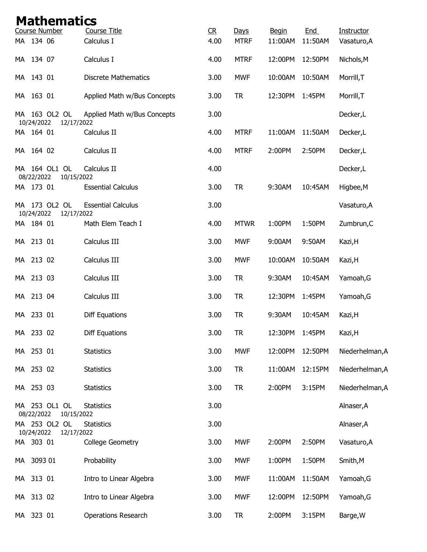|     |            | <b>Mathematics</b>          |                                   |                        |                     |                         |                |                           |
|-----|------------|-----------------------------|-----------------------------------|------------------------|---------------------|-------------------------|----------------|---------------------------|
|     | MA 134 06  | Course Number               | <b>Course Title</b><br>Calculus I | C <sub>R</sub><br>4.00 | Days<br><b>MTRF</b> | <b>Begin</b><br>11:00AM | End<br>11:50AM | Instructor<br>Vasaturo, A |
|     |            |                             |                                   |                        |                     |                         |                |                           |
| MA  | 134 07     |                             | Calculus I                        | 4.00                   | <b>MTRF</b>         | 12:00PM                 | 12:50PM        | Nichols, M                |
|     | MA 143 01  |                             | <b>Discrete Mathematics</b>       | 3.00                   | <b>MWF</b>          | 10:00AM                 | 10:50AM        | Morrill, T                |
| MA  | 163 01     |                             | Applied Math w/Bus Concepts       | 3.00                   | <b>TR</b>           | 12:30PM                 | 1:45PM         | Morrill, T                |
| MA  | 10/24/2022 | 163 OL2 OL<br>12/17/2022    | Applied Math w/Bus Concepts       | 3.00                   |                     |                         |                | Decker,L                  |
|     | MA 164 01  |                             | Calculus II                       | 4.00                   | <b>MTRF</b>         | 11:00AM                 | 11:50AM        | Decker,L                  |
| MA. | 164 02     |                             | Calculus II                       | 4.00                   | <b>MTRF</b>         | 2:00PM                  | 2:50PM         | Decker,L                  |
| MA  | 08/22/2022 | 164 OL1 OL<br>10/15/2022    | Calculus II                       | 4.00                   |                     |                         |                | Decker,L                  |
|     | MA 173 01  |                             | <b>Essential Calculus</b>         | 3.00                   | <b>TR</b>           | 9:30AM                  | 10:45AM        | Higbee, M                 |
|     | 10/24/2022 | MA 173 OL2 OL<br>12/17/2022 | <b>Essential Calculus</b>         | 3.00                   |                     |                         |                | Vasaturo, A               |
|     | MA 184 01  |                             | Math Elem Teach I                 | 4.00                   | <b>MTWR</b>         | 1:00PM                  | 1:50PM         | Zumbrun, C                |
| MA  | 213 01     |                             | Calculus III                      | 3.00                   | <b>MWF</b>          | 9:00AM                  | 9:50AM         | Kazi, H                   |
| MA. | 213 02     |                             | Calculus III                      | 3.00                   | <b>MWF</b>          | 10:00AM                 | 10:50AM        | Kazi, H                   |
|     | MA 213 03  |                             | Calculus III                      | 3.00                   | <b>TR</b>           | 9:30AM                  | 10:45AM        | Yamoah, G                 |
| МA  | 213 04     |                             | Calculus III                      | 3.00                   | <b>TR</b>           | 12:30PM                 | 1:45PM         | Yamoah, G                 |
| MA  | 233 01     |                             | <b>Diff Equations</b>             | 3.00                   | <b>TR</b>           | 9:30AM                  | 10:45AM        | Kazi, H                   |
|     | MA 233 02  |                             | <b>Diff Equations</b>             | 3.00                   | <b>TR</b>           | 12:30PM                 | 1:45PM         | Kazi, H                   |
|     | MA 253 01  |                             | <b>Statistics</b>                 | 3.00                   | <b>MWF</b>          | 12:00PM                 | 12:50PM        | Niederhelman, A           |
|     | MA 253 02  |                             | <b>Statistics</b>                 | 3.00                   | <b>TR</b>           | 11:00AM                 | 12:15PM        | Niederhelman, A           |
|     | MA 253 03  |                             | <b>Statistics</b>                 | 3.00                   | <b>TR</b>           | 2:00PM                  | 3:15PM         | Niederhelman, A           |
|     | 08/22/2022 | MA 253 OL1 OL<br>10/15/2022 | <b>Statistics</b>                 | 3.00                   |                     |                         |                | Alnaser, A                |
|     | 10/24/2022 | MA 253 OL2 OL<br>12/17/2022 | <b>Statistics</b>                 | 3.00                   |                     |                         |                | Alnaser, A                |
|     | MA 303 01  |                             | College Geometry                  | 3.00                   | <b>MWF</b>          | 2:00PM                  | 2:50PM         | Vasaturo, A               |
|     | MA 3093 01 |                             | Probability                       | 3.00                   | <b>MWF</b>          | 1:00PM                  | 1:50PM         | Smith, M                  |
|     | MA 313 01  |                             | Intro to Linear Algebra           | 3.00                   | <b>MWF</b>          | 11:00AM                 | 11:50AM        | Yamoah, G                 |
|     | MA 313 02  |                             | Intro to Linear Algebra           | 3.00                   | <b>MWF</b>          | 12:00PM                 | 12:50PM        | Yamoah, G                 |
|     | MA 323 01  |                             | Operations Research               | 3.00                   | <b>TR</b>           | 2:00PM                  | 3:15PM         | Barge, W                  |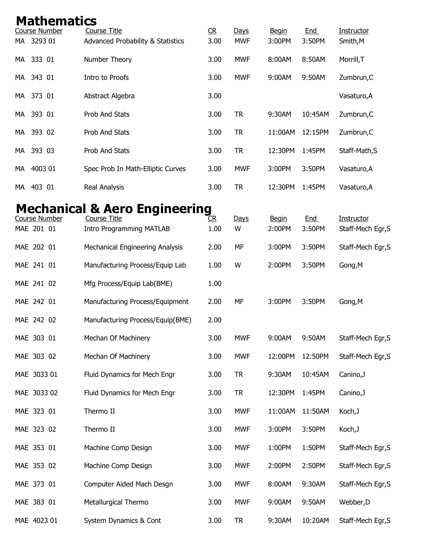| <b>Mathematics</b><br><b>Course Number</b> | <b>Course Title</b>                          | CR   | Days       | <b>Begin</b> | <b>End</b> | Instructor        |
|--------------------------------------------|----------------------------------------------|------|------------|--------------|------------|-------------------|
| MA 3293 01                                 | <b>Advanced Probability &amp; Statistics</b> | 3.00 | <b>MWF</b> | 3:00PM       | 3:50PM     | Smith, M          |
| 333 01<br>МA                               | Number Theory                                | 3.00 | <b>MWF</b> | 8:00AM       | 8:50AM     | Morrill, T        |
| 343 01<br>MA.                              | Intro to Proofs                              | 3.00 | <b>MWF</b> | 9:00AM       | 9:50AM     | Zumbrun, C        |
| MA 373 01                                  | Abstract Algebra                             | 3.00 |            |              |            | Vasaturo, A       |
| 393 01<br>МA                               | Prob And Stats                               | 3.00 | <b>TR</b>  | 9:30AM       | 10:45AM    | Zumbrun, C        |
| 393 02<br>МA                               | Prob And Stats                               | 3.00 | <b>TR</b>  | 11:00AM      | 12:15PM    | Zumbrun, C        |
| 393 03<br>МA                               | Prob And Stats                               | 3.00 | <b>TR</b>  | 12:30PM      | 1:45PM     | Staff-Math, S     |
| 4003 01<br>МA                              | Spec Prob In Math-Elliptic Curves            | 3.00 | <b>MWF</b> | 3:00PM       | 3:50PM     | Vasaturo, A       |
| 403 01<br>МA                               | Real Analysis                                | 3.00 | <b>TR</b>  | 12:30PM      | 1:45PM     | Vasaturo, A       |
|                                            | <b>Mechanical &amp; Aero Engineering</b>     |      |            |              |            |                   |
| Course Number                              | Course Title                                 | CR.  | Days       | <b>Begin</b> | <b>End</b> | Instructor        |
| MAE 201 01                                 | <b>Intro Programming MATLAB</b>              | 1.00 | W          | 2:00PM       | 3:50PM     | Staff-Mech Egr, S |
| MAE 202 01                                 | Mechanical Engineering Analysis              | 2.00 | MF         | 3:00PM       | 3:50PM     | Staff-Mech Egr, S |
| MAE 241 01                                 | Manufacturing Process/Equip Lab              | 1.00 | W          | 2:00PM       | 3:50PM     | Gong, M           |
| MAE 241 02                                 | Mfg Process/Equip Lab(BME)                   | 1.00 |            |              |            |                   |
| MAE 242 01                                 | Manufacturing Process/Equipment              | 2.00 | MF         | 3:00PM       | 3:50PM     | Gong, M           |
| MAE 242 02                                 | Manufacturing Process/Equip(BME)             | 2.00 |            |              |            |                   |
| MAE 303 01                                 | Mechan Of Machinery                          | 3.00 | <b>MWF</b> | 9:00AM       | 9:50AM     | Staff-Mech Egr, S |
| MAE 303 02                                 | Mechan Of Machinery                          | 3.00 | <b>MWF</b> | 12:00PM      | 12:50PM    | Staff-Mech Egr, S |
| MAE 3033 01                                | Fluid Dynamics for Mech Engr                 | 3.00 | <b>TR</b>  | 9:30AM       | 10:45AM    | Canino, J         |
| MAE 3033 02                                | Fluid Dynamics for Mech Engr                 | 3.00 | <b>TR</b>  | 12:30PM      | 1:45PM     | Canino, J         |
| MAE 323 01                                 | Thermo II                                    | 3.00 | <b>MWF</b> | 11:00AM      | 11:50AM    | Koch, J           |
| MAE 323 02                                 | Thermo II                                    | 3.00 | <b>MWF</b> | 3:00PM       | 3:50PM     | Koch, J           |
| MAE 353 01                                 | Machine Comp Design                          | 3.00 | <b>MWF</b> | 1:00PM       | 1:50PM     | Staff-Mech Egr, S |
| MAE 353 02                                 | Machine Comp Design                          | 3.00 | <b>MWF</b> | 2:00PM       | 2:50PM     | Staff-Mech Egr, S |
| MAE 373 01                                 | Computer Aided Mach Desgn                    | 3.00 | <b>MWF</b> | 8:00AM       | 9:30AM     | Staff-Mech Egr, S |
| MAE 383 01                                 | Metallurgical Thermo                         | 3.00 | <b>MWF</b> | 9:00AM       | 9:50AM     | Webber, D         |
| MAE 4023 01                                | System Dynamics & Cont                       | 3.00 | <b>TR</b>  | 9:30AM       | 10:20AM    | Staff-Mech Egr, S |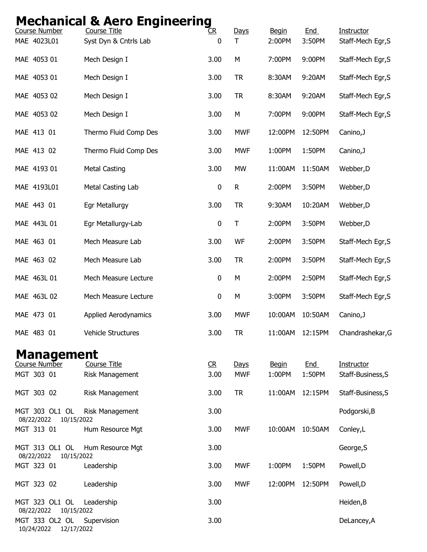## Mechanical & Aero Engineering

| <b>Course Number</b>                       | <b>Course Title</b>                    | R           | Days               | <b>Begin</b>           | End                  | <b>Instructor</b>               |
|--------------------------------------------|----------------------------------------|-------------|--------------------|------------------------|----------------------|---------------------------------|
| MAE 4023L01                                | Syst Dyn & Cntrls Lab                  | $\mathbf 0$ | Τ                  | 2:00PM                 | 3:50PM               | Staff-Mech Egr, S               |
| MAE 4053 01                                | Mech Design I                          | 3.00        | М                  | 7:00PM                 | 9:00PM               | Staff-Mech Egr, S               |
| MAE 4053 01                                | Mech Design I                          | 3.00        | <b>TR</b>          | 8:30AM                 | 9:20AM               | Staff-Mech Egr, S               |
| MAE 4053 02                                | Mech Design I                          | 3.00        | <b>TR</b>          | 8:30AM                 | 9:20AM               | Staff-Mech Egr, S               |
| MAE 4053 02                                | Mech Design I                          | 3.00        | М                  | 7:00PM                 | 9:00PM               | Staff-Mech Egr, S               |
| MAE 413 01                                 | Thermo Fluid Comp Des                  | 3.00        | <b>MWF</b>         | 12:00PM                | 12:50PM              | Canino, J                       |
| MAE 413 02                                 | Thermo Fluid Comp Des                  | 3.00        | <b>MWF</b>         | 1:00PM                 | 1:50PM               | Canino, J                       |
| MAE 4193 01                                | <b>Metal Casting</b>                   | 3.00        | MW                 | 11:00AM                | 11:50AM              | Webber, D                       |
| MAE 4193L01                                | Metal Casting Lab                      | $\pmb{0}$   | R                  | 2:00PM                 | 3:50PM               | Webber, D                       |
| MAE 443 01                                 | Egr Metallurgy                         | 3.00        | <b>TR</b>          | 9:30AM                 | 10:20AM              | Webber, D                       |
| MAE 443L 01                                | Egr Metallurgy-Lab                     | $\pmb{0}$   | $\top$             | 2:00PM                 | 3:50PM               | Webber, D                       |
| MAE 463 01                                 | Mech Measure Lab                       | 3.00        | WF                 | 2:00PM                 | 3:50PM               | Staff-Mech Egr, S               |
| MAE 463 02                                 | Mech Measure Lab                       | 3.00        | <b>TR</b>          | 2:00PM                 | 3:50PM               | Staff-Mech Egr, S               |
| MAE 463L 01                                | Mech Measure Lecture                   | $\pmb{0}$   | М                  | 2:00PM                 | 2:50PM               | Staff-Mech Egr, S               |
| MAE 463L 02                                | Mech Measure Lecture                   | $\pmb{0}$   | M                  | 3:00PM                 | 3:50PM               | Staff-Mech Egr, S               |
| MAE 473 01                                 | <b>Applied Aerodynamics</b>            | 3.00        | <b>MWF</b>         | 10:00AM                | 10:50AM              | Canino, J                       |
| MAE 483 01                                 | <b>Vehicle Structures</b>              | 3.00        | <b>TR</b>          | 11:00AM                | 12:15PM              | Chandrashekar, G                |
| <b>Management</b>                          |                                        |             |                    |                        |                      |                                 |
| Course Number<br>MGT 303 01                | <b>Course Title</b><br>Risk Management | R<br>3.00   | Days<br><b>MWF</b> | <b>Begin</b><br>1:00PM | <b>End</b><br>1:50PM | Instructor<br>Staff-Business, S |
| MGT 303 02                                 | Risk Management                        | 3.00        | <b>TR</b>          | 11:00AM                | 12:15PM              | Staff-Business, S               |
| MGT 303 OL1 OL                             | Risk Management                        | 3.00        |                    |                        |                      | Podgorski, B                    |
| 08/22/2022<br>10/15/2022<br>MGT 313 01     | Hum Resource Mgt                       | 3.00        | <b>MWF</b>         | 10:00AM                | 10:50AM              | Conley,L                        |
| MGT 313 OL1 OL<br>08/22/2022<br>10/15/2022 | Hum Resource Mgt                       | 3.00        |                    |                        |                      | George, S                       |
| MGT 323 01                                 | Leadership                             | 3.00        | <b>MWF</b>         | 1:00PM                 | 1:50PM               | Powell, D                       |
| MGT 323 02                                 | Leadership                             | 3.00        | <b>MWF</b>         | 12:00PM                | 12:50PM              | Powell, D                       |
| MGT 323 OL1 OL<br>08/22/2022<br>10/15/2022 | Leadership                             | 3.00        |                    |                        |                      | Heiden, B                       |
| MGT 333 OL2 OL<br>10/24/2022<br>12/17/2022 | Supervision                            | 3.00        |                    |                        |                      | DeLancey, A                     |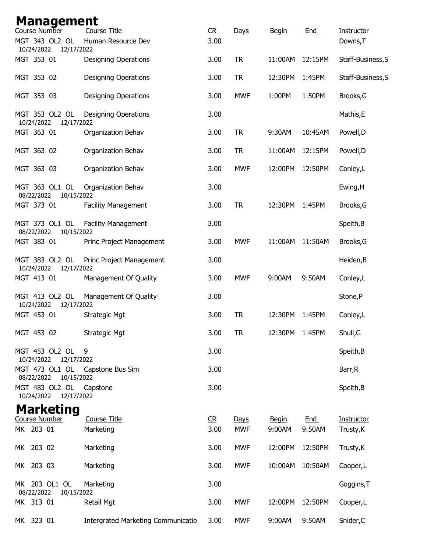| <b>Management</b><br>Course Number                       | <b>Course Title</b>                | C <sub>R</sub> |            |              | <b>End</b> |                        |
|----------------------------------------------------------|------------------------------------|----------------|------------|--------------|------------|------------------------|
| MGT 343 OL2 OL<br>10/24/2022<br>12/17/2022               | Human Resource Dev                 | 3.00           | Days       | <b>Begin</b> |            | Instructor<br>Downs, T |
| MGT 353 01                                               | <b>Designing Operations</b>        | 3.00           | <b>TR</b>  | 11:00AM      | 12:15PM    | Staff-Business, S      |
| MGT 353 02                                               | <b>Designing Operations</b>        | 3.00           | <b>TR</b>  | 12:30PM      | 1:45PM     | Staff-Business, S      |
| MGT 353 03                                               | <b>Designing Operations</b>        | 3.00           | <b>MWF</b> | 1:00PM       | 1:50PM     | Brooks, G              |
| MGT 353 OL2 OL<br>10/24/2022<br>12/17/2022               | <b>Designing Operations</b>        | 3.00           |            |              |            | Mathis, E              |
| MGT 363 01                                               | Organization Behav                 | 3.00           | <b>TR</b>  | 9:30AM       | 10:45AM    | Powell, D              |
| MGT 363 02                                               | Organization Behav                 | 3.00           | <b>TR</b>  | 11:00AM      | 12:15PM    | Powell, D              |
| MGT 363 03                                               | Organization Behav                 | 3.00           | <b>MWF</b> | 12:00PM      | 12:50PM    | Conley,L               |
| MGT 363 OL1 OL<br>08/22/2022<br>10/15/2022               | Organization Behav                 | 3.00           |            |              |            | Ewing, H               |
| MGT 373 01                                               | <b>Facility Management</b>         | 3.00           | <b>TR</b>  | 12:30PM      | 1:45PM     | Brooks, G              |
| MGT 373 OL1 OL<br>08/22/2022<br>10/15/2022               | <b>Facility Management</b>         | 3.00           |            |              |            | Speith, B              |
| MGT 383 01                                               | Princ Project Management           | 3.00           | <b>MWF</b> | 11:00AM      | 11:50AM    | Brooks, G              |
| MGT 383 OL2 OL<br>10/24/2022<br>12/17/2022               | Princ Project Management           | 3.00           |            |              |            | Heiden, B              |
| MGT 413 01                                               | Management Of Quality              | 3.00           | <b>MWF</b> | 9:00AM       | 9:50AM     | Conley,L               |
| MGT 413 OL2 OL<br>10/24/2022<br>12/17/2022               | Management Of Quality              | 3.00           |            |              |            | Stone,P                |
| MGT 453 01                                               | <b>Strategic Mgt</b>               | 3.00           | <b>TR</b>  | 12:30PM      | 1:45PM     | Conley,L               |
| MGT 453 02                                               | <b>Strategic Mgt</b>               | 3.00           | <b>TR</b>  | 12:30PM      | 1:45PM     | Shull, G               |
| MGT 453 OL2 OL<br>10/24/2022<br>12/17/2022               | 9                                  | 3.00           |            |              |            | Speith, B              |
| MGT 473 OL1 OL Capstone Bus Sim<br>08/22/2022 10/15/2022 |                                    | 3.00           |            |              |            | Barr, R                |
| MGT 483 OL2 OL<br>10/24/2022 12/17/2022                  | Capstone                           | 3.00           |            |              |            | Speith, B              |
| <b>Marketing</b>                                         |                                    |                |            |              |            |                        |
| Course Number                                            | Course Title                       | CR             | Days       | <b>Begin</b> | <b>End</b> | Instructor             |
| MK 203 01                                                | Marketing                          | 3.00           | <b>MWF</b> | 9:00AM       | 9:50AM     | Trusty, K              |
| MK 203 02                                                | Marketing                          | 3.00           | <b>MWF</b> | 12:00PM      | 12:50PM    | Trusty, K              |
| MK 203 03                                                | Marketing                          | 3.00           | <b>MWF</b> | 10:00AM      | 10:50AM    | Cooper,L               |
| MK 203 OL1 OL<br>08/22/2022<br>10/15/2022                | Marketing                          | 3.00           |            |              |            | Goggins, T             |
| MK 313 01                                                | Retail Mgt                         | 3.00           | <b>MWF</b> | 12:00PM      | 12:50PM    | Cooper, L              |
| MK 323 01                                                | Intergrated Marketing Communicatio | 3.00           | <b>MWF</b> | 9:00AM       | 9:50AM     | Snider, C              |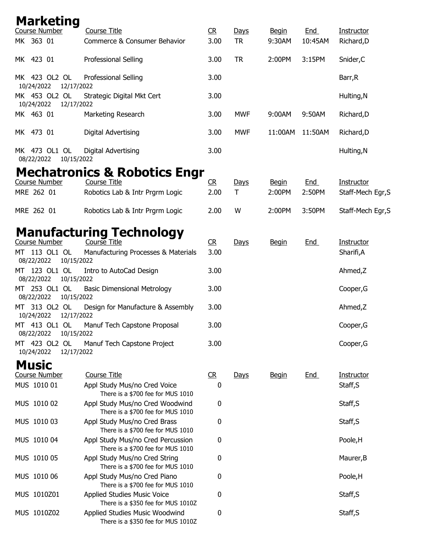| <b>Marketing</b><br>Course Number  | <b>Course Title</b>                                                    | R              | <b>Days</b> | <b>Begin</b>           | <b>End</b>           | <b>Instructor</b>               |
|------------------------------------|------------------------------------------------------------------------|----------------|-------------|------------------------|----------------------|---------------------------------|
| MK 363 01                          | Commerce & Consumer Behavior                                           | 3.00           | <b>TR</b>   | 9:30AM                 | 10:45AM              | Richard, D                      |
| MK 423 01                          | Professional Selling                                                   | 3.00           | <b>TR</b>   | 2:00PM                 | 3:15PM               | Snider, C                       |
| MK 423 OL2 OL<br>10/24/2022        | Professional Selling<br>12/17/2022                                     | 3.00           |             |                        |                      | Barr, R                         |
| MK 453 OL2 OL<br>10/24/2022        | Strategic Digital Mkt Cert<br>12/17/2022                               | 3.00           |             |                        |                      | Hulting, N                      |
| MK 463 01                          | Marketing Research                                                     | 3.00           | <b>MWF</b>  | 9:00AM                 | 9:50AM               | Richard, D                      |
| MK 473 01                          | <b>Digital Advertising</b>                                             | 3.00           | <b>MWF</b>  | 11:00AM                | 11:50AM              | Richard, D                      |
| MK 473 OL1 OL<br>08/22/2022        | Digital Advertising<br>10/15/2022                                      | 3.00           |             |                        |                      | Hulting, N                      |
|                                    | <b>Mechatronics &amp; Robotics Engr</b>                                |                |             |                        |                      |                                 |
| <b>Course Number</b><br>MRE 262 01 | <b>Course Title</b><br>Robotics Lab & Intr Prgrm Logic                 | R<br>2.00      | Days<br>T   | <b>Begin</b><br>2:00PM | <b>End</b><br>2:50PM | Instructor<br>Staff-Mech Egr, S |
| MRE 262 01                         | Robotics Lab & Intr Prgrm Logic                                        | 2.00           | W           | 2:00PM                 | 3:50PM               | Staff-Mech Egr, S               |
| Course Number                      | <b>Manufacturing Technology</b><br>Course Title                        | C <sub>R</sub> | Days        | <b>Begin</b>           | <b>End</b>           | Instructor                      |
| MT 113 OL1 OL<br>08/22/2022        | Manufacturing Processes & Materials<br>10/15/2022                      | 3.00           |             |                        |                      | Sharifi,A                       |
| MT 123 OL1 OL<br>08/22/2022        | Intro to AutoCad Design<br>10/15/2022                                  | 3.00           |             |                        |                      | Ahmed,Z                         |
| MT 253 OL1 OL<br>08/22/2022        | <b>Basic Dimensional Metrology</b><br>10/15/2022                       | 3.00           |             |                        |                      | Cooper, G                       |
| 313 OL2 OL<br>МT<br>10/24/2022     | Design for Manufacture & Assembly<br>12/17/2022                        | 3.00           |             |                        |                      | Ahmed,Z                         |
| MT 413 OL1 OL<br>08/22/2022        | Manuf Tech Capstone Proposal<br>10/15/2022                             | 3.00           |             |                        |                      | Cooper, G                       |
| MT 423 OL2 OL<br>10/24/2022        | Manuf Tech Capstone Project<br>12/17/2022                              | 3.00           |             |                        |                      | Cooper, G                       |
| <b>Music</b>                       |                                                                        |                |             |                        |                      |                                 |
| <b>Course Number</b>               | <b>Course Title</b>                                                    | C <sub>R</sub> | Days        | <u>Begin</u>           | <b>End</b>           | <b>Instructor</b>               |
| MUS 1010 01                        | Appl Study Mus/no Cred Voice<br>There is a \$700 fee for MUS 1010      | 0              |             |                        |                      | Staff, S                        |
| MUS 1010 02                        | Appl Study Mus/no Cred Woodwind<br>There is a \$700 fee for MUS 1010   | 0              |             |                        |                      | Staff, S                        |
| MUS 1010 03                        | Appl Study Mus/no Cred Brass<br>There is a \$700 fee for MUS 1010      | 0              |             |                        |                      | Staff, S                        |
| MUS 1010 04                        | Appl Study Mus/no Cred Percussion<br>There is a \$700 fee for MUS 1010 | 0              |             |                        |                      | Poole, H                        |
| MUS 1010 05                        | Appl Study Mus/no Cred String<br>There is a \$700 fee for MUS 1010     | 0              |             |                        |                      | Maurer, B                       |
| MUS 1010 06                        | Appl Study Mus/no Cred Piano<br>There is a \$700 fee for MUS 1010      | 0              |             |                        |                      | Poole, H                        |
| MUS 1010Z01                        | Applied Studies Music Voice<br>There is a \$350 fee for MUS 1010Z      | 0              |             |                        |                      | Staff, S                        |
| MUS 1010Z02                        | Applied Studies Music Woodwind<br>There is a \$350 fee for MUS 1010Z   | 0              |             |                        |                      | Staff, S                        |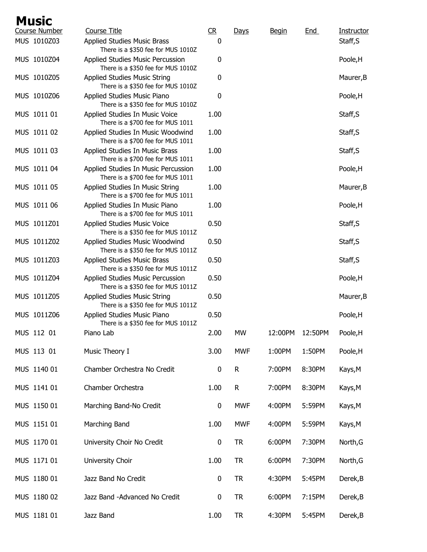| <b>Music</b>         |                                                                           |                |              |              |            |            |
|----------------------|---------------------------------------------------------------------------|----------------|--------------|--------------|------------|------------|
| <b>Course Number</b> | <b>Course Title</b>                                                       | C <sub>R</sub> | Days         | <b>Begin</b> | <u>End</u> | Instructor |
| MUS 1010Z03          | Applied Studies Music Brass<br>There is a \$350 fee for MUS 1010Z         | 0              |              |              |            | Staff, S   |
| MUS 1010Z04          | Applied Studies Music Percussion<br>There is a \$350 fee for MUS 1010Z    | 0              |              |              |            | Poole, H   |
| MUS 1010Z05          | <b>Applied Studies Music String</b><br>There is a \$350 fee for MUS 1010Z | 0              |              |              |            | Maurer, B  |
| MUS 1010Z06          | Applied Studies Music Piano<br>There is a \$350 fee for MUS 1010Z         | 0              |              |              |            | Poole, H   |
| MUS 1011 01          | Applied Studies In Music Voice<br>There is a \$700 fee for MUS 1011       | 1.00           |              |              |            | Staff, S   |
| MUS 1011 02          | Applied Studies In Music Woodwind<br>There is a \$700 fee for MUS 1011    | 1.00           |              |              |            | Staff, S   |
| MUS 1011 03          | Applied Studies In Music Brass<br>There is a \$700 fee for MUS 1011       | 1.00           |              |              |            | Staff, S   |
| MUS 1011 04          | Applied Studies In Music Percussion<br>There is a \$700 fee for MUS 1011  | 1.00           |              |              |            | Poole, H   |
| MUS 1011 05          | Applied Studies In Music String<br>There is a \$700 fee for MUS 1011      | 1.00           |              |              |            | Maurer, B  |
| MUS 1011 06          | Applied Studies In Music Piano<br>There is a \$700 fee for MUS 1011       | 1.00           |              |              |            | Poole, H   |
| MUS 1011Z01          | <b>Applied Studies Music Voice</b><br>There is a \$350 fee for MUS 1011Z  | 0.50           |              |              |            | Staff, S   |
| MUS 1011Z02          | Applied Studies Music Woodwind<br>There is a \$350 fee for MUS 1011Z      | 0.50           |              |              |            | Staff, S   |
| MUS 1011Z03          | <b>Applied Studies Music Brass</b><br>There is a \$350 fee for MUS 1011Z  | 0.50           |              |              |            | Staff, S   |
| MUS 1011Z04          | Applied Studies Music Percussion<br>There is a \$350 fee for MUS 1011Z    | 0.50           |              |              |            | Poole, H   |
| MUS 1011Z05          | Applied Studies Music String<br>There is a \$350 fee for MUS 1011Z        | 0.50           |              |              |            | Maurer, B  |
| MUS 1011Z06          | Applied Studies Music Piano<br>There is a \$350 fee for MUS 1011Z         | 0.50           |              |              |            | Poole, H   |
| MUS 112 01           | Piano Lab                                                                 | 2.00           | <b>MW</b>    | 12:00PM      | 12:50PM    | Poole, H   |
| MUS 113 01           | Music Theory I                                                            | 3.00           | <b>MWF</b>   | 1:00PM       | 1:50PM     | Poole, H   |
| MUS 1140 01          | Chamber Orchestra No Credit                                               | $\bf{0}$       | $\mathsf{R}$ | 7:00PM       | 8:30PM     | Kays, M    |
| MUS 1141 01          | Chamber Orchestra                                                         | 1.00           | R            | 7:00PM       | 8:30PM     | Kays, M    |
| MUS 1150 01          | Marching Band-No Credit                                                   | $\bf{0}$       | <b>MWF</b>   | 4:00PM       | 5:59PM     | Kays, M    |
| MUS 1151 01          | Marching Band                                                             | 1.00           | <b>MWF</b>   | 4:00PM       | 5:59PM     | Kays, M    |
| MUS 1170 01          | University Choir No Credit                                                | $\pmb{0}$      | <b>TR</b>    | 6:00PM       | 7:30PM     | North, G   |
| MUS 1171 01          | University Choir                                                          | 1.00           | <b>TR</b>    | 6:00PM       | 7:30PM     | North, G   |
| MUS 1180 01          | Jazz Band No Credit                                                       | $\pmb{0}$      | <b>TR</b>    | 4:30PM       | 5:45PM     | Derek, B   |
| MUS 1180 02          | Jazz Band -Advanced No Credit                                             | $\pmb{0}$      | <b>TR</b>    | 6:00PM       | 7:15PM     | Derek, B   |
| MUS 1181 01          | Jazz Band                                                                 | 1.00           | <b>TR</b>    | 4:30PM       | 5:45PM     | Derek, B   |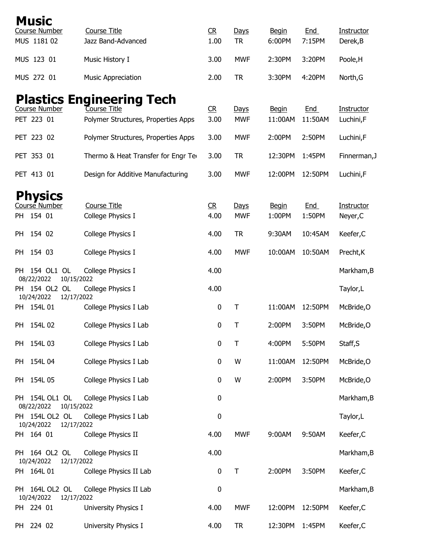|    | <b>Music</b><br><b>Course Number</b>       | <b>Course Title</b>                                 | C <sub>R</sub> | Days                      | <b>Begin</b>            | End                  | Instructor              |
|----|--------------------------------------------|-----------------------------------------------------|----------------|---------------------------|-------------------------|----------------------|-------------------------|
|    | MUS 1181 02                                | Jazz Band-Advanced                                  | 1.00           | <b>TR</b>                 | 6:00PM                  | 7:15PM               | Derek, B                |
|    | MUS 123 01                                 | Music History I                                     | 3.00           | <b>MWF</b>                | 2:30PM                  | 3:20PM               | Poole, H                |
|    | MUS 272 01                                 | <b>Music Appreciation</b>                           | 2.00           | <b>TR</b>                 | 3:30PM                  | 4:20PM               | North, G                |
|    |                                            | <b>Plastics Engineering Tech</b>                    |                |                           |                         |                      |                         |
|    | <b>Course Number</b><br>PET 223 01         | Course Title<br>Polymer Structures, Properties Apps | CR<br>3.00     | <b>Days</b><br><b>MWF</b> | <b>Begin</b><br>11:00AM | End<br>11:50AM       | Instructor<br>Luchini,F |
|    | PET 223 02                                 | Polymer Structures, Properties Apps                 | 3.00           | <b>MWF</b>                | 2:00PM                  | 2:50PM               | Luchini,F               |
|    | PET 353 01                                 | Thermo & Heat Transfer for Engr Ter                 | 3.00           | <b>TR</b>                 | 12:30PM                 | 1:45PM               | Finnerman, J            |
|    | PET 413 01                                 | Design for Additive Manufacturing                   | 3.00           | <b>MWF</b>                | 12:00PM                 | 12:50PM              | Luchini,F               |
|    | <b>Physics</b>                             |                                                     |                |                           |                         |                      |                         |
|    | Course Number<br>PH 154 01                 | Course Title<br>College Physics I                   | CR<br>4.00     | <b>Days</b><br><b>MWF</b> | <b>Begin</b><br>1:00PM  | <b>End</b><br>1:50PM | Instructor<br>Neyer, C  |
|    |                                            |                                                     |                |                           |                         |                      |                         |
| PH | 154 02                                     | College Physics I                                   | 4.00           | <b>TR</b>                 | 9:30AM                  | 10:45AM              | Keefer, C               |
| PH | 154 03                                     | College Physics I                                   | 4.00           | <b>MWF</b>                | 10:00AM                 | 10:50AM              | Precht, K               |
|    | PH 154 OL1 OL<br>08/22/2022<br>10/15/2022  | College Physics I                                   | 4.00           |                           |                         |                      | Markham, B              |
|    | PH 154 OL2 OL<br>10/24/2022<br>12/17/2022  | College Physics I                                   | 4.00           |                           |                         |                      | Taylor, L               |
| PH | 154L 01                                    | College Physics I Lab                               | 0              | Τ                         | 11:00AM                 | 12:50PM              | McBride, O              |
| PH | 154L 02                                    | College Physics I Lab                               | $\pmb{0}$      | Τ                         | 2:00PM                  | 3:50PM               | McBride, O              |
|    | PH 154L 03                                 | College Physics I Lab                               | $\pmb{0}$      | Τ                         | 4:00PM                  | 5:50PM               | Staff, S                |
|    | PH 154L 04                                 | College Physics I Lab                               | $\pmb{0}$      | W                         | 11:00AM                 | 12:50PM              | McBride, O              |
|    | PH 154L 05                                 | College Physics I Lab                               | $\pmb{0}$      | W                         | 2:00PM                  | 3:50PM               | McBride, O              |
|    | PH 154L OL1 OL<br>08/22/2022<br>10/15/2022 | College Physics I Lab                               | $\pmb{0}$      |                           |                         |                      | Markham, B              |
|    | PH 154L OL2 OL<br>10/24/2022<br>12/17/2022 | College Physics I Lab                               | 0              |                           |                         |                      | Taylor, L               |
|    | PH 164 01                                  | College Physics II                                  | 4.00           | <b>MWF</b>                | 9:00AM                  | 9:50AM               | Keefer, C               |
|    | PH 164 OL2 OL<br>10/24/2022<br>12/17/2022  | College Physics II                                  | 4.00           |                           |                         |                      | Markham, B              |
|    | PH 164L 01                                 | College Physics II Lab                              | $\pmb{0}$      | $\sf T$                   | 2:00PM                  | 3:50PM               | Keefer, C               |
|    | PH 164L OL2 OL<br>10/24/2022<br>12/17/2022 | College Physics II Lab                              | $\pmb{0}$      |                           |                         |                      | Markham, B              |
|    | PH 224 01                                  | University Physics I                                | 4.00           | <b>MWF</b>                | 12:00PM                 | 12:50PM              | Keefer, C               |
|    | PH 224 02                                  | University Physics I                                | 4.00           | <b>TR</b>                 | 12:30PM                 | 1:45PM               | Keefer, C               |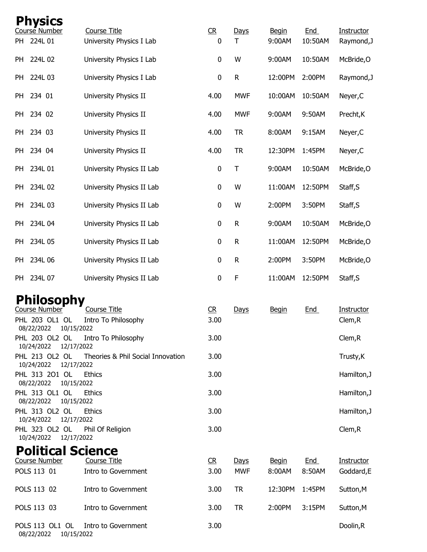| <b>Physics</b>                              |                                          |                |              |                        |                       |                          |
|---------------------------------------------|------------------------------------------|----------------|--------------|------------------------|-----------------------|--------------------------|
| Course Number<br>224L 01<br>PH              | Course Title<br>University Physics I Lab | CR<br>0        | Days<br>T    | <b>Begin</b><br>9:00AM | <b>End</b><br>10:50AM | Instructor<br>Raymond, J |
|                                             |                                          |                |              |                        |                       |                          |
| 224L 02<br>PH                               | University Physics I Lab                 | 0              | W            | 9:00AM                 | 10:50AM               | McBride, O               |
| 224L 03<br>PH                               | University Physics I Lab                 | 0              | $\mathsf{R}$ | 12:00PM                | 2:00PM                | Raymond, J               |
| 234 01<br>PH                                | University Physics II                    | 4.00           | <b>MWF</b>   | 10:00AM                | 10:50AM               | Neyer, C                 |
| 234 02<br>PH                                | University Physics II                    | 4.00           | <b>MWF</b>   | 9:00AM                 | 9:50AM                | Precht, K                |
| 234 03<br>PH                                | University Physics II                    | 4.00           | <b>TR</b>    | 8:00AM                 | 9:15AM                | Neyer, C                 |
| 234 04<br>PH                                | University Physics II                    | 4.00           | <b>TR</b>    | 12:30PM                | 1:45PM                | Neyer, C                 |
| 234L 01<br>PH                               | University Physics II Lab                | $\pmb{0}$      | $\mathsf T$  | 9:00AM                 | 10:50AM               | McBride, O               |
| 234L 02<br>PH                               | University Physics II Lab                | 0              | W            | 11:00AM                | 12:50PM               | Staff, S                 |
| 234L 03<br>PH                               | University Physics II Lab                | 0              | W            | 2:00PM                 | 3:50PM                | Staff, S                 |
| 234L 04<br>PH                               | University Physics II Lab                | 0              | $\mathsf{R}$ | 9:00AM                 | 10:50AM               | McBride, O               |
| 234L 05<br>PH                               | University Physics II Lab                | $\pmb{0}$      | $\mathsf{R}$ | 11:00AM                | 12:50PM               | McBride, O               |
| 234L 06<br>PH                               | University Physics II Lab                | 0              | $\mathsf{R}$ | 2:00PM                 | 3:50PM                | McBride, O               |
| 234L 07<br>PH                               | University Physics II Lab                | $\pmb{0}$      | F            | 11:00AM                | 12:50PM               | Staff, S                 |
| <b>Philosophy</b>                           |                                          |                |              |                        |                       |                          |
| Course Number                               | <b>Course Title</b>                      | R              | Days         | <u>Begin</u>           | <u>End</u>            | Instructor               |
| PHL 203 OL1 OL<br>08/22/2022<br>10/15/2022  | Intro To Philosophy                      | 3.00           |              |                        |                       | Clem, R                  |
| PHL 203 OL2 OL<br>10/24/2022<br>12/17/2022  | Intro To Philosophy                      | 3.00           |              |                        |                       | Clem, R                  |
| PHL 213 OL2 OL<br>10/24/2022<br>12/17/2022  | Theories & Phil Social Innovation        | 3.00           |              |                        |                       | Trusty, K                |
| PHL 313 201 OL<br>08/22/2022<br>10/15/2022  | <b>Ethics</b>                            | 3.00           |              |                        |                       | Hamilton, J              |
| PHL 313 OL1 OL<br>08/22/2022<br>10/15/2022  | <b>Ethics</b>                            | 3.00           |              |                        |                       | Hamilton, J              |
| PHL 313 OL2 OL<br>10/24/2022<br>12/17/2022  | <b>Ethics</b>                            | 3.00           |              |                        |                       | Hamilton, J              |
| PHL 323 OL2 OL<br>10/24/2022<br>12/17/2022  | Phil Of Religion                         | 3.00           |              |                        |                       | Clem, R                  |
| <b>Political Science</b>                    |                                          |                |              |                        |                       |                          |
| <b>Course Number</b>                        | <b>Course Title</b>                      | C <sub>R</sub> | <u>Days</u>  | <b>Begin</b>           | <u>End</u>            | Instructor               |
| POLS 113 01                                 | Intro to Government                      | 3.00           | <b>MWF</b>   | 8:00AM                 | 8:50AM                | Goddard, E               |
| POLS 113 02                                 | Intro to Government                      | 3.00           | <b>TR</b>    | 12:30PM                | 1:45PM                | Sutton, M                |
| POLS 113 03                                 | Intro to Government                      | 3.00           | <b>TR</b>    | 2:00PM                 | 3:15PM                | Sutton, M                |
| POLS 113 OL1 OL<br>08/22/2022<br>10/15/2022 | Intro to Government                      | 3.00           |              |                        |                       | Doolin, R                |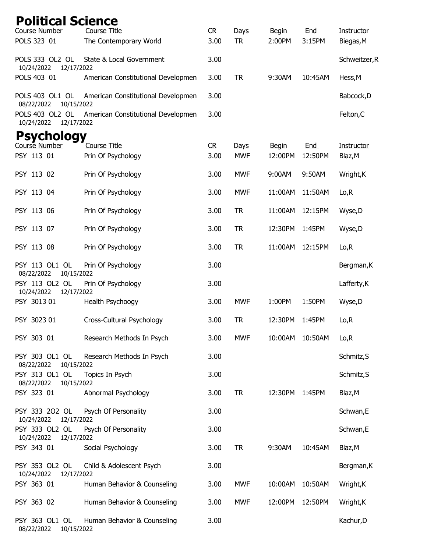| <b>Political Science</b><br>Course Number   | <b>Course Title</b>                | C <sub>R</sub> | Days       | <b>Begin</b>   | End        | Instructor        |
|---------------------------------------------|------------------------------------|----------------|------------|----------------|------------|-------------------|
| POLS 323 01                                 | The Contemporary World             | 3.00           | <b>TR</b>  | 2:00PM         | 3:15PM     | Biegas, M         |
| POLS 333 OL2 OL<br>10/24/2022<br>12/17/2022 | State & Local Government           | 3.00           |            |                |            | Schweitzer, R     |
| POLS 403 01                                 | American Constitutional Developmen | 3.00           | <b>TR</b>  | 9:30AM         | 10:45AM    | Hess, M           |
| POLS 403 OL1 OL<br>08/22/2022<br>10/15/2022 | American Constitutional Developmen | 3.00           |            |                |            | Babcock, D        |
| POLS 403 OL2 OL<br>10/24/2022<br>12/17/2022 | American Constitutional Developmen | 3.00           |            |                |            | Felton, C         |
| <b>Psychology</b>                           |                                    |                |            |                |            |                   |
| Course Number                               | <b>Course Title</b>                | CR             | Days       | <b>Begin</b>   | <b>End</b> | <b>Instructor</b> |
| PSY 113 01                                  | Prin Of Psychology                 | 3.00           | <b>MWF</b> | 12:00PM        | 12:50PM    | Blaz, M           |
| PSY 113 02                                  | Prin Of Psychology                 | 3.00           | <b>MWF</b> | 9:00AM         | 9:50AM     | Wright, K         |
| PSY 113 04                                  | Prin Of Psychology                 | 3.00           | <b>MWF</b> | 11:00AM        | 11:50AM    | Lo, R             |
| PSY 113 06                                  | Prin Of Psychology                 | 3.00           | <b>TR</b>  | 11:00AM        | 12:15PM    | Wyse, D           |
| PSY 113 07                                  | Prin Of Psychology                 | 3.00           | <b>TR</b>  | 12:30PM        | 1:45PM     | Wyse, D           |
| PSY 113 08                                  | Prin Of Psychology                 | 3.00           | <b>TR</b>  | 11:00AM        | 12:15PM    | Lo, R             |
| PSY 113 OL1 OL<br>08/22/2022<br>10/15/2022  | Prin Of Psychology                 | 3.00           |            |                |            | Bergman, K        |
| PSY 113 OL2 OL<br>10/24/2022<br>12/17/2022  | Prin Of Psychology                 | 3.00           |            |                |            | Lafferty, K       |
| PSY 3013 01                                 | Health Psychoogy                   | 3.00           | <b>MWF</b> | 1:00PM         | 1:50PM     | Wyse, D           |
| PSY 3023 01                                 | Cross-Cultural Psychology          | 3.00           | <b>TR</b>  | 12:30PM        | 1:45PM     | Lo, R             |
| PSY 303 01                                  | Research Methods In Psych          | 3.00           | <b>MWF</b> | 10:00AM        | 10:50AM    | Lo, R             |
| PSY 303 OL1 OL<br>08/22/2022<br>10/15/2022  | Research Methods In Psych          | 3.00           |            |                |            | Schmitz, S        |
| PSY 313 OL1 OL<br>10/15/2022<br>08/22/2022  | Topics In Psych                    | 3.00           |            |                |            | Schmitz, S        |
| PSY 323 01                                  | Abnormal Psychology                | 3.00           | <b>TR</b>  | 12:30PM 1:45PM |            | Blaz, M           |
| PSY 333 202 OL                              | Psych Of Personality               | 3.00           |            |                |            | Schwan,E          |
| 12/17/2022<br>10/24/2022<br>PSY 333 OL2 OL  | Psych Of Personality               | 3.00           |            |                |            | Schwan,E          |
| 10/24/2022<br>12/17/2022<br>PSY 343 01      | Social Psychology                  | 3.00           | <b>TR</b>  | 9:30AM         | 10:45AM    | Blaz, M           |
| PSY 353 OL2 OL<br>10/24/2022<br>12/17/2022  | Child & Adolescent Psych           | 3.00           |            |                |            | Bergman, K        |
| PSY 363 01                                  | Human Behavior & Counseling        | 3.00           | <b>MWF</b> | 10:00AM        | 10:50AM    | Wright, K         |
| PSY 363 02                                  | Human Behavior & Counseling        | 3.00           | <b>MWF</b> | 12:00PM        | 12:50PM    | Wright, K         |
| PSY 363 OL1 OL<br>08/22/2022<br>10/15/2022  | Human Behavior & Counseling        | 3.00           |            |                |            | Kachur, D         |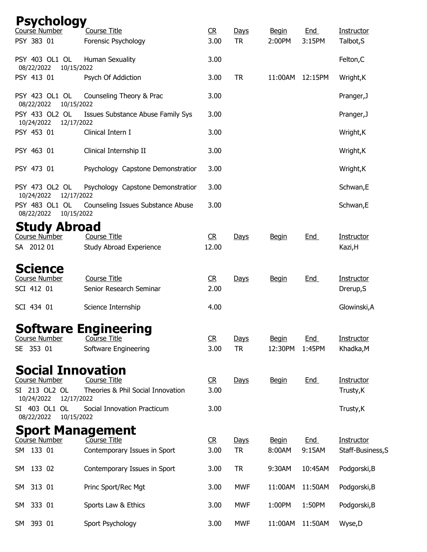|            | <b>Psychology</b><br>Course Number   | <b>Course Title</b>                            | R         | Days       | <b>Begin</b> | End        | Instructor              |
|------------|--------------------------------------|------------------------------------------------|-----------|------------|--------------|------------|-------------------------|
| PSY 383 01 |                                      | Forensic Psychology                            | 3.00      | <b>TR</b>  | 2:00PM       | 3:15PM     | Talbot, S               |
| 08/22/2022 | PSY 403 OL1 OL<br>10/15/2022         | Human Sexuality                                | 3.00      |            |              |            | Felton, C               |
| PSY 413 01 |                                      | Psych Of Addiction                             | 3.00      | <b>TR</b>  | 11:00AM      | 12:15PM    | Wright, K               |
| 08/22/2022 | PSY 423 OL1 OL<br>10/15/2022         | Counseling Theory & Prac                       | 3.00      |            |              |            | Pranger, J              |
| 10/24/2022 | PSY 433 OL2 OL<br>12/17/2022         | Issues Substance Abuse Family Sys              | 3.00      |            |              |            | Pranger, J              |
| PSY 453 01 |                                      | Clinical Intern I                              | 3.00      |            |              |            | Wright, K               |
| PSY 463 01 |                                      | Clinical Internship II                         | 3.00      |            |              |            | Wright, K               |
| PSY 473 01 |                                      | Psychology Capstone Demonstratior              | 3.00      |            |              |            | Wright, K               |
| 10/24/2022 | PSY 473 OL2 OL<br>12/17/2022         | Psychology Capstone Demonstratior              | 3.00      |            |              |            | Schwan, E               |
| 08/22/2022 | PSY 483 OL1 OL<br>10/15/2022         | Counseling Issues Substance Abuse              | 3.00      |            |              |            | Schwan,E                |
|            | <b>Study Abroad</b><br>Course Number | Course Title                                   | CR        | Days       | <b>Begin</b> | <b>End</b> | Instructor              |
| SA 2012 01 |                                      | Study Abroad Experience                        | 12.00     |            |              |            | Kazi, H                 |
|            | Science                              |                                                |           |            |              |            |                         |
| SCI 412 01 | <b>Course Number</b>                 | <b>Course Title</b><br>Senior Research Seminar | R<br>2.00 | Days       | <b>Begin</b> | <b>End</b> | Instructor<br>Drerup, S |
| SCI 434 01 |                                      | Science Internship                             | 4.00      |            |              |            | Glowinski, A            |
|            |                                      | <b>Software Engineering</b>                    |           |            |              |            |                         |
|            | <b>Course Number</b>                 | Course Title                                   | R         | Days       | <b>Begin</b> | <u>End</u> | <b>Instructor</b>       |
| SE 353 01  |                                      | Software Engineering                           | 3.00      | <b>TR</b>  | 12:30PM      | 1:45PM     | Khadka, M               |
|            |                                      | <b>Social Innovation</b>                       |           |            |              |            |                         |
|            | Course Number                        | Course Title                                   | R         | Days       | <b>Begin</b> | <b>End</b> | <b>Instructor</b>       |
| 10/24/2022 | SI 213 OL2 OL<br>12/17/2022          | Theories & Phil Social Innovation              | 3.00      |            |              |            | Trusty, K               |
| 08/22/2022 | SI 403 OL1 OL<br>10/15/2022          | Social Innovation Practicum                    | 3.00      |            |              |            | Trusty, K               |
|            |                                      | <b>Sport Management</b>                        |           |            |              |            |                         |
|            | Course Number                        | Course Title                                   | R         | Days       | <b>Begin</b> | <b>End</b> | Instructor              |
| SM 133 01  |                                      | Contemporary Issues in Sport                   | 3.00      | <b>TR</b>  | 8:00AM       | 9:15AM     | Staff-Business, S       |
| SM 133 02  |                                      | Contemporary Issues in Sport                   | 3.00      | <b>TR</b>  | 9:30AM       | 10:45AM    | Podgorski, B            |
| SM 313 01  |                                      | Princ Sport/Rec Mgt                            | 3.00      | <b>MWF</b> | 11:00AM      | 11:50AM    | Podgorski, B            |
| SM 333 01  |                                      | Sports Law & Ethics                            | 3.00      | <b>MWF</b> | 1:00PM       | 1:50PM     | Podgorski, B            |
| SM 393 01  |                                      | Sport Psychology                               | 3.00      | <b>MWF</b> | 11:00AM      | 11:50AM    | Wyse, D                 |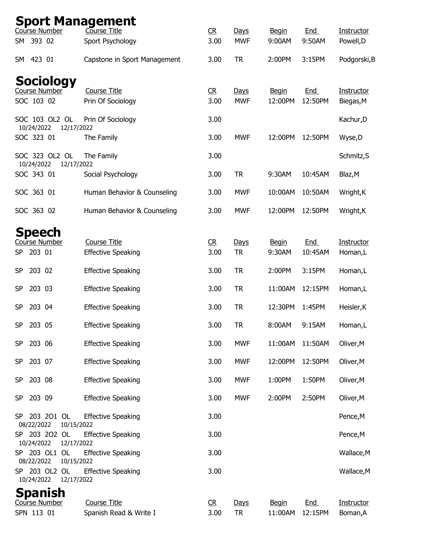|                                               | <b>Sport Management</b><br>Course Number<br>Course Title<br>C <sub>R</sub><br>End<br>Instructor<br>Days<br><b>Begin</b> |                        |                   |                         |                       |                        |  |  |  |  |  |
|-----------------------------------------------|-------------------------------------------------------------------------------------------------------------------------|------------------------|-------------------|-------------------------|-----------------------|------------------------|--|--|--|--|--|
| 393 02<br>SM                                  | Sport Psychology                                                                                                        | 3.00                   | <b>MWF</b>        | 9:00AM                  | 9:50AM                | Powell, D              |  |  |  |  |  |
| 423 01<br>SM                                  | Capstone in Sport Management                                                                                            | 3.00                   | <b>TR</b>         | 2:00PM                  | 3:15PM                | Podgorski, B           |  |  |  |  |  |
| <b>Sociology</b><br>Course Number             | <b>Course Title</b>                                                                                                     | C <sub>R</sub>         | Days              | <b>Begin</b>            | <u>End</u>            | <b>Instructor</b>      |  |  |  |  |  |
| SOC 103 02                                    | Prin Of Sociology                                                                                                       | 3.00                   | <b>MWF</b>        | 12:00PM                 | 12:50PM               | Biegas, M              |  |  |  |  |  |
| SOC 103 OL2 OL<br>10/24/2022<br>12/17/2022    | Prin Of Sociology                                                                                                       | 3.00                   |                   |                         |                       | Kachur, D              |  |  |  |  |  |
| SOC 323 01                                    | The Family                                                                                                              | 3.00                   | <b>MWF</b>        | 12:00PM                 | 12:50PM               | Wyse,D                 |  |  |  |  |  |
| SOC 323 OL2 OL<br>10/24/2022<br>12/17/2022    | The Family                                                                                                              | 3.00                   |                   |                         |                       | Schmitz, S             |  |  |  |  |  |
| SOC 343 01                                    | Social Psychology                                                                                                       | 3.00                   | <b>TR</b>         | 9:30AM                  | 10:45AM               | Blaz, M                |  |  |  |  |  |
| SOC 363 01                                    | Human Behavior & Counseling                                                                                             | 3.00                   | <b>MWF</b>        | 10:00AM                 | 10:50AM               | Wright, K              |  |  |  |  |  |
| SOC 363 02                                    | Human Behavior & Counseling                                                                                             | 3.00                   | <b>MWF</b>        | 12:00PM                 | 12:50PM               | Wright, K              |  |  |  |  |  |
| Speech                                        |                                                                                                                         |                        |                   |                         |                       |                        |  |  |  |  |  |
| Course Number<br>203 01<br><b>SP</b>          | <b>Course Title</b><br><b>Effective Speaking</b>                                                                        | C <sub>R</sub><br>3.00 | Days<br><b>TR</b> | <b>Begin</b><br>9:30AM  | <u>End</u><br>10:45AM | Instructor<br>Homan, L |  |  |  |  |  |
| 203 02<br><b>SP</b>                           | <b>Effective Speaking</b>                                                                                               | 3.00                   | <b>TR</b>         | 2:00PM                  | 3:15PM                | Homan,L                |  |  |  |  |  |
| 203 03<br><b>SP</b>                           | <b>Effective Speaking</b>                                                                                               | 3.00                   | <b>TR</b>         | 11:00AM                 | 12:15PM               | Homan,L                |  |  |  |  |  |
| <b>SP</b><br>203 04                           | <b>Effective Speaking</b>                                                                                               | 3.00                   | <b>TR</b>         | 12:30PM                 | 1:45PM                | Heisler, K             |  |  |  |  |  |
| 203 05<br><b>SP</b>                           | <b>Effective Speaking</b>                                                                                               | 3.00                   | <b>TR</b>         | 8:00AM                  | 9:15AM                | Homan,L                |  |  |  |  |  |
| 203 06<br><b>SP</b>                           | <b>Effective Speaking</b>                                                                                               | 3.00                   | <b>MWF</b>        | 11:00AM                 | 11:50AM               | Oliver, M              |  |  |  |  |  |
| <b>SP</b><br>203 07                           | <b>Effective Speaking</b>                                                                                               | 3.00                   | <b>MWF</b>        | 12:00PM                 | 12:50PM               | Oliver, M              |  |  |  |  |  |
| 203 08<br><b>SP</b>                           | <b>Effective Speaking</b>                                                                                               | 3.00                   | <b>MWF</b>        | 1:00PM                  | 1:50PM                | Oliver, M              |  |  |  |  |  |
| 203 09<br><b>SP</b>                           | <b>Effective Speaking</b>                                                                                               | 3.00                   | <b>MWF</b>        | 2:00PM                  | 2:50PM                | Oliver, M              |  |  |  |  |  |
| SP 203 201 OL<br>08/22/2022<br>10/15/2022     | <b>Effective Speaking</b>                                                                                               | 3.00                   |                   |                         |                       | Pence, M               |  |  |  |  |  |
| SP 203 202 OL<br>10/24/2022<br>12/17/2022     | <b>Effective Speaking</b>                                                                                               | 3.00                   |                   |                         |                       | Pence, M               |  |  |  |  |  |
| SP 203 OL1 OL<br>08/22/2022<br>10/15/2022     | <b>Effective Speaking</b>                                                                                               | 3.00                   |                   |                         |                       | Wallace, M             |  |  |  |  |  |
| SP 203 OL2 OL<br>10/24/2022<br>12/17/2022     | <b>Effective Speaking</b>                                                                                               | 3.00                   |                   |                         |                       | Wallace, M             |  |  |  |  |  |
| <b>Spanish</b><br>Course Number<br>SPN 113 01 | Course Title<br>Spanish Read & Write I                                                                                  | R<br>3.00              | Days<br><b>TR</b> | <b>Begin</b><br>11:00AM | End<br>12:15PM        | Instructor<br>Boman, A |  |  |  |  |  |